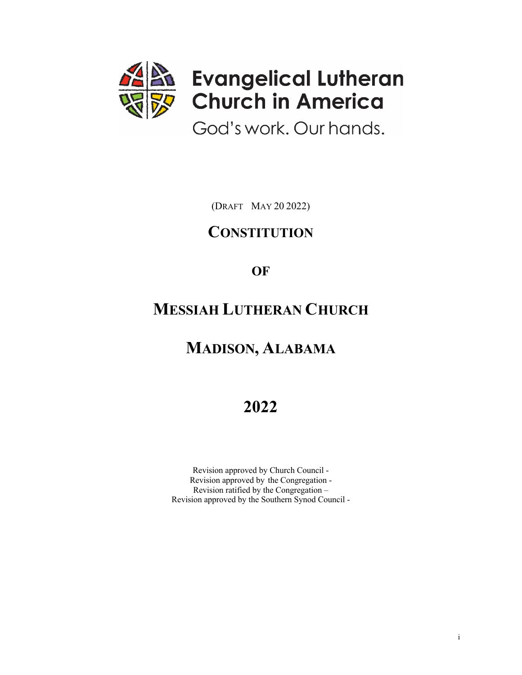

(DRAFT MAY 20 2022)

## **CONSTITUTION**

**OF**

# **MESSIAH LUTHERAN CHURCH**

# **MADISON, ALABAMA**

# **2022**

Revision approved by Church Council - Revision approved by the Congregation - Revision ratified by the Congregation – Revision approved by the Southern Synod Council -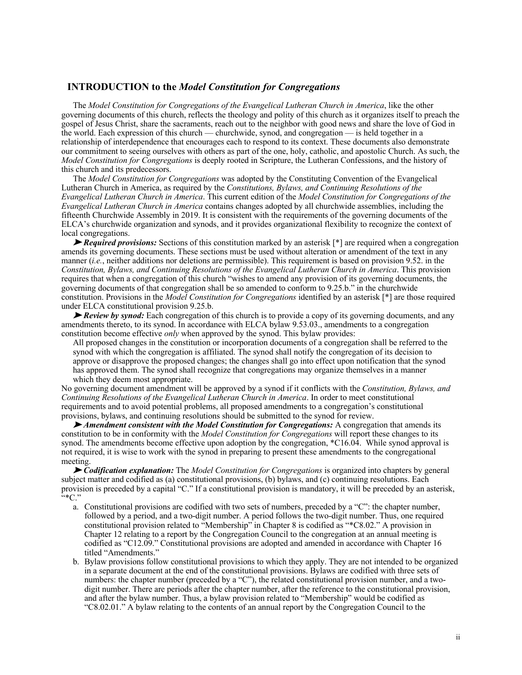#### **INTRODUCTION to the** *Model Constitution for Congregations*

The *Model Constitution for Congregations of the Evangelical Lutheran Church in America*, like the other governing documents of this church, reflects the theology and polity of this church as it organizes itself to preach the gospel of Jesus Christ, share the sacraments, reach out to the neighbor with good news and share the love of God in the world. Each expression of this church — churchwide, synod, and congregation — is held together in a relationship of interdependence that encourages each to respond to its context. These documents also demonstrate our commitment to seeing ourselves with others as part of the one, holy, catholic, and apostolic Church. As such, the *Model Constitution for Congregations* is deeply rooted in Scripture, the Lutheran Confessions, and the history of this church and its predecessors.

The *Model Constitution for Congregations* was adopted by the Constituting Convention of the Evangelical Lutheran Church in America, as required by the *Constitutions, Bylaws, and Continuing Resolutions of the Evangelical Lutheran Church in America*. This current edition of the *Model Constitution for Congregations of the Evangelical Lutheran Church in America* contains changes adopted by all churchwide assemblies, including the fifteenth Churchwide Assembly in 2019. It is consistent with the requirements of the governing documents of the ELCA's churchwide organization and synods, and it provides organizational flexibility to recognize the context of local congregations.

➤ *Required provisions:* Sections of this constitution marked by an asterisk [\*] are required when a congregation amends its governing documents. These sections must be used without alteration or amendment of the text in any manner (*i.e.*, neither additions nor deletions are permissible). This requirement is based on provision 9.52. in the *Constitution, Bylaws, and Continuing Resolutions of the Evangelical Lutheran Church in America*. This provision requires that when a congregation of this church "wishes to amend any provision of its governing documents, the governing documents of that congregation shall be so amended to conform to 9.25.b." in the churchwide constitution. Provisions in the *Model Constitution for Congregations* identified by an asterisk [\*] are those required under ELCA constitutional provision 9.25.b.

► *Review by synod:* Each congregation of this church is to provide a copy of its governing documents, and any amendments thereto, to its synod. In accordance with ELCA bylaw 9.53.03., amendments to a congregation constitution become effective *only* when approved by the synod. This bylaw provides:

All proposed changes in the constitution or incorporation documents of a congregation shall be referred to the synod with which the congregation is affiliated. The synod shall notify the congregation of its decision to approve or disapprove the proposed changes; the changes shall go into effect upon notification that the synod has approved them. The synod shall recognize that congregations may organize themselves in a manner which they deem most appropriate.

No governing document amendment will be approved by a synod if it conflicts with the *Constitution, Bylaws, and Continuing Resolutions of the Evangelical Lutheran Church in America*. In order to meet constitutional requirements and to avoid potential problems, all proposed amendments to a congregation's constitutional provisions, bylaws, and continuing resolutions should be submitted to the synod for review.

➤ *Amendment consistent with the Model Constitution for Congregations:* A congregation that amends its constitution to be in conformity with the *Model Constitution for Congregations* will report these changes to its synod. The amendments become effective upon adoption by the congregation, \*C16.04. While synod approval is not required, it is wise to work with the synod in preparing to present these amendments to the congregational meeting.

➤ *Codification explanation:* The *Model Constitution for Congregations* is organized into chapters by general subject matter and codified as (a) constitutional provisions, (b) bylaws, and (c) continuing resolutions. Each provision is preceded by a capital "C." If a constitutional provision is mandatory, it will be preceded by an asterisk,  $\left\lbrack \cdots \right\rbrack^*$ 

- a. Constitutional provisions are codified with two sets of numbers, preceded by a "C": the chapter number, followed by a period, and a two-digit number. A period follows the two-digit number. Thus, one required constitutional provision related to "Membership" in Chapter 8 is codified as "\*C8.02." A provision in Chapter 12 relating to a report by the Congregation Council to the congregation at an annual meeting is codified as "C12.09." Constitutional provisions are adopted and amended in accordance with Chapter 16 titled "Amendments."
- b. Bylaw provisions follow constitutional provisions to which they apply. They are not intended to be organized in a separate document at the end of the constitutional provisions. Bylaws are codified with three sets of numbers: the chapter number (preceded by a "C"), the related constitutional provision number, and a twodigit number. There are periods after the chapter number, after the reference to the constitutional provision, and after the bylaw number. Thus, a bylaw provision related to "Membership" would be codified as "C8.02.01." A bylaw relating to the contents of an annual report by the Congregation Council to the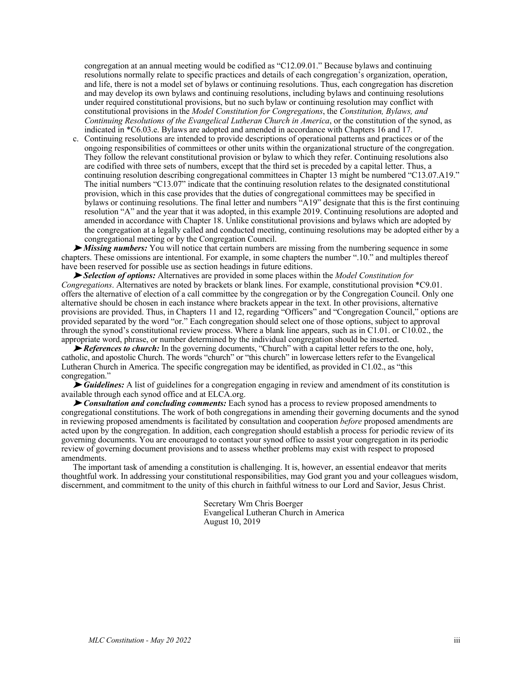congregation at an annual meeting would be codified as "C12.09.01." Because bylaws and continuing resolutions normally relate to specific practices and details of each congregation's organization, operation, and life, there is not a model set of bylaws or continuing resolutions. Thus, each congregation has discretion and may develop its own bylaws and continuing resolutions, including bylaws and continuing resolutions under required constitutional provisions, but no such bylaw or continuing resolution may conflict with constitutional provisions in the *Model Constitution for Congregations*, the *Constitution, Bylaws, and Continuing Resolutions of the Evangelical Lutheran Church in America*, or the constitution of the synod, as indicated in \*C6.03.e. Bylaws are adopted and amended in accordance with Chapters 16 and 17.

c. Continuing resolutions are intended to provide descriptions of operational patterns and practices or of the ongoing responsibilities of committees or other units within the organizational structure of the congregation. They follow the relevant constitutional provision or bylaw to which they refer. Continuing resolutions also are codified with three sets of numbers, except that the third set is preceded by a capital letter. Thus, a continuing resolution describing congregational committees in Chapter 13 might be numbered "C13.07.A19." The initial numbers "C13.07" indicate that the continuing resolution relates to the designated constitutional provision, which in this case provides that the duties of congregational committees may be specified in bylaws or continuing resolutions. The final letter and numbers "A19" designate that this is the first continuing resolution "A" and the year that it was adopted, in this example 2019. Continuing resolutions are adopted and amended in accordance with Chapter 18. Unlike constitutional provisions and bylaws which are adopted by the congregation at a legally called and conducted meeting, continuing resolutions may be adopted either by a congregational meeting or by the Congregation Council.

➤ *Missing numbers:* You will notice that certain numbers are missing from the numbering sequence in some chapters. These omissions are intentional. For example, in some chapters the number ".10." and multiples thereof have been reserved for possible use as section headings in future editions.

➤ *Selection of options:* Alternatives are provided in some places within the *Model Constitution for Congregations*. Alternatives are noted by brackets or blank lines. For example, constitutional provision \*C9.01. offers the alternative of election of a call committee by the congregation or by the Congregation Council. Only one alternative should be chosen in each instance where brackets appear in the text. In other provisions, alternative provisions are provided. Thus, in Chapters 11 and 12, regarding "Officers" and "Congregation Council," options are provided separated by the word "or." Each congregation should select one of those options, subject to approval through the synod's constitutional review process. Where a blank line appears, such as in C1.01. or C10.02., the appropriate word, phrase, or number determined by the individual congregation should be inserted.

► *References to church:* In the governing documents, "Church" with a capital letter refers to the one, holy, catholic, and apostolic Church. The words "church" or "this church" in lowercase letters refer to the Evangelical Lutheran Church in America. The specific congregation may be identified, as provided in C1.02., as "this congregation."

➤ *Guidelines:* A list of guidelines for a congregation engaging in review and amendment of its constitution is available through each synod office and at ELCA.org.

➤ *Consultation and concluding comments:* Each synod has a process to review proposed amendments to congregational constitutions. The work of both congregations in amending their governing documents and the synod in reviewing proposed amendments is facilitated by consultation and cooperation *before* proposed amendments are acted upon by the congregation. In addition, each congregation should establish a process for periodic review of its governing documents. You are encouraged to contact your synod office to assist your congregation in its periodic review of governing document provisions and to assess whether problems may exist with respect to proposed amendments.

The important task of amending a constitution is challenging. It is, however, an essential endeavor that merits thoughtful work. In addressing your constitutional responsibilities, may God grant you and your colleagues wisdom, discernment, and commitment to the unity of this church in faithful witness to our Lord and Savior, Jesus Christ.

> Secretary Wm Chris Boerger Evangelical Lutheran Church in America August 10, 2019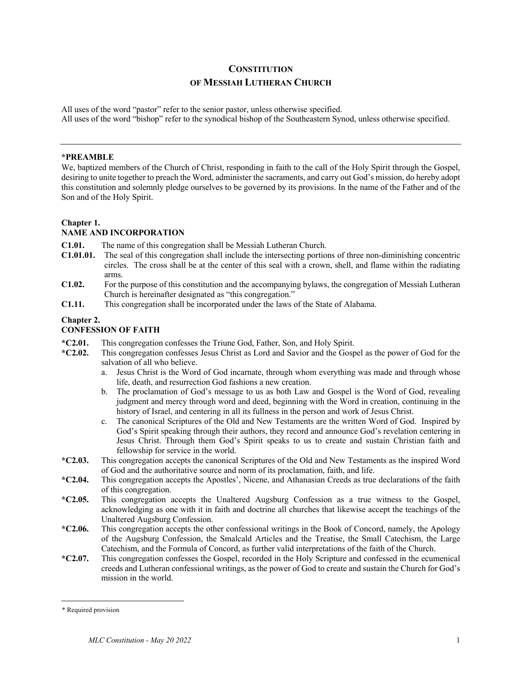## **CONSTITUTION OF MESSIAH LUTHERAN CHURCH**

All uses of the word "pastor" refer to the senior pastor, unless otherwise specified. All uses of the word "bishop" refer to the synodical bishop of the Southeastern Synod, unless otherwise specified.

#### **\*PREAMBLE**\*

We, baptized members of the Church of Christ, responding in faith to the call of the Holy Spirit through the Gospel, desiring to unite together to preach the Word, administer the sacraments, and carry out God's mission, do hereby adopt this constitution and solemnly pledge ourselves to be governed by its provisions. In the name of the Father and of the Son and of the Holy Spirit.

#### **Chapter 1.**

#### **NAME AND INCORPORATION**

- **C1.01.** The name of this congregation shall be Messiah Lutheran Church.
- **C1.01.01.** The seal of this congregation shall include the intersecting portions of three non-diminishing concentric circles. The cross shall be at the center of this seal with a crown, shell, and flame within the radiating arms.
- **C1.02.** For the purpose of this constitution and the accompanying bylaws, the congregation of Messiah Lutheran Church is hereinafter designated as "this congregation."
- **C1.11.** This congregation shall be incorporated under the laws of the State of Alabama.

#### **Chapter 2.**

#### **CONFESSION OF FAITH**

- **\*C2.01.** This congregation confesses the Triune God, Father, Son, and Holy Spirit.
- **\*C2.02.** This congregation confesses Jesus Christ as Lord and Savior and the Gospel as the power of God for the salvation of all who believe.
	- a. Jesus Christ is the Word of God incarnate, through whom everything was made and through whose life, death, and resurrection God fashions a new creation.
	- b. The proclamation of God's message to us as both Law and Gospel is the Word of God, revealing judgment and mercy through word and deed, beginning with the Word in creation, continuing in the history of Israel, and centering in all its fullness in the person and work of Jesus Christ.
	- c. The canonical Scriptures of the Old and New Testaments are the written Word of God. Inspired by God's Spirit speaking through their authors, they record and announce God's revelation centering in Jesus Christ. Through them God's Spirit speaks to us to create and sustain Christian faith and fellowship for service in the world.
- **\*C2.03.** This congregation accepts the canonical Scriptures of the Old and New Testaments as the inspired Word of God and the authoritative source and norm of its proclamation, faith, and life.
- **\*C2.04.** This congregation accepts the Apostles', Nicene, and Athanasian Creeds as true declarations of the faith of this congregation.
- **\*C2.05.** This congregation accepts the Unaltered Augsburg Confession as a true witness to the Gospel, acknowledging as one with it in faith and doctrine all churches that likewise accept the teachings of the Unaltered Augsburg Confession.
- **\*C2.06.** This congregation accepts the other confessional writings in the Book of Concord, namely, the Apology of the Augsburg Confession, the Smalcald Articles and the Treatise, the Small Catechism, the Large Catechism, and the Formula of Concord, as further valid interpretations of the faith of the Church.
- **\*C2.07.** This congregation confesses the Gospel, recorded in the Holy Scripture and confessed in the ecumenical creeds and Lutheran confessional writings, as the power of God to create and sustain the Church for God's mission in the world.

<sup>\*</sup> Required provision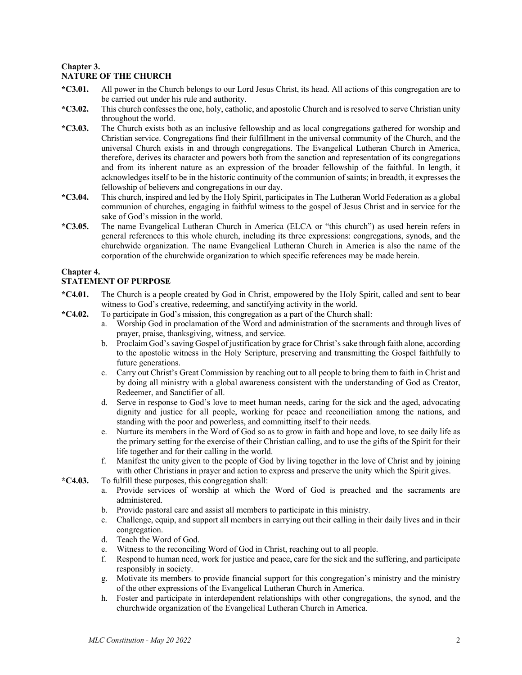#### **Chapter 3. NATURE OF THE CHURCH**

- **\*C3.01.** All power in the Church belongs to our Lord Jesus Christ, its head. All actions of this congregation are to be carried out under his rule and authority.
- **\*C3.02.** This church confesses the one, holy, catholic, and apostolic Church and is resolved to serve Christian unity throughout the world.
- **\*C3.03.** The Church exists both as an inclusive fellowship and as local congregations gathered for worship and Christian service. Congregations find their fulfillment in the universal community of the Church, and the universal Church exists in and through congregations. The Evangelical Lutheran Church in America, therefore, derives its character and powers both from the sanction and representation of its congregations and from its inherent nature as an expression of the broader fellowship of the faithful. In length, it acknowledges itself to be in the historic continuity of the communion of saints; in breadth, it expresses the fellowship of believers and congregations in our day.
- **\*C3.04.** This church, inspired and led by the Holy Spirit, participates in The Lutheran World Federation as a global communion of churches, engaging in faithful witness to the gospel of Jesus Christ and in service for the sake of God's mission in the world.
- **\*C3.05.** The name Evangelical Lutheran Church in America (ELCA or "this church") as used herein refers in general references to this whole church, including its three expressions: congregations, synods, and the churchwide organization. The name Evangelical Lutheran Church in America is also the name of the corporation of the churchwide organization to which specific references may be made herein.

#### **Chapter 4.**

#### **STATEMENT OF PURPOSE**

- **\*C4.01.** The Church is a people created by God in Christ, empowered by the Holy Spirit, called and sent to bear witness to God's creative, redeeming, and sanctifying activity in the world.
- **\*C4.02.** To participate in God's mission, this congregation as a part of the Church shall:
	- a. Worship God in proclamation of the Word and administration of the sacraments and through lives of prayer, praise, thanksgiving, witness, and service.
	- b. Proclaim God's saving Gospel of justification by grace for Christ's sake through faith alone, according to the apostolic witness in the Holy Scripture, preserving and transmitting the Gospel faithfully to future generations.
	- c. Carry out Christ's Great Commission by reaching out to all people to bring them to faith in Christ and by doing all ministry with a global awareness consistent with the understanding of God as Creator, Redeemer, and Sanctifier of all.
	- d. Serve in response to God's love to meet human needs, caring for the sick and the aged, advocating dignity and justice for all people, working for peace and reconciliation among the nations, and standing with the poor and powerless, and committing itself to their needs.
	- e. Nurture its members in the Word of God so as to grow in faith and hope and love, to see daily life as the primary setting for the exercise of their Christian calling, and to use the gifts of the Spirit for their life together and for their calling in the world.
	- f. Manifest the unity given to the people of God by living together in the love of Christ and by joining with other Christians in prayer and action to express and preserve the unity which the Spirit gives.
- **\*C4.03.** To fulfill these purposes, this congregation shall:
	- a. Provide services of worship at which the Word of God is preached and the sacraments are administered.
	- b. Provide pastoral care and assist all members to participate in this ministry.
	- c. Challenge, equip, and support all members in carrying out their calling in their daily lives and in their congregation.
	- d. Teach the Word of God.
	- e. Witness to the reconciling Word of God in Christ, reaching out to all people.
	- f. Respond to human need, work for justice and peace, care for the sick and the suffering, and participate responsibly in society.
	- g. Motivate its members to provide financial support for this congregation's ministry and the ministry of the other expressions of the Evangelical Lutheran Church in America.
	- h. Foster and participate in interdependent relationships with other congregations, the synod, and the churchwide organization of the Evangelical Lutheran Church in America.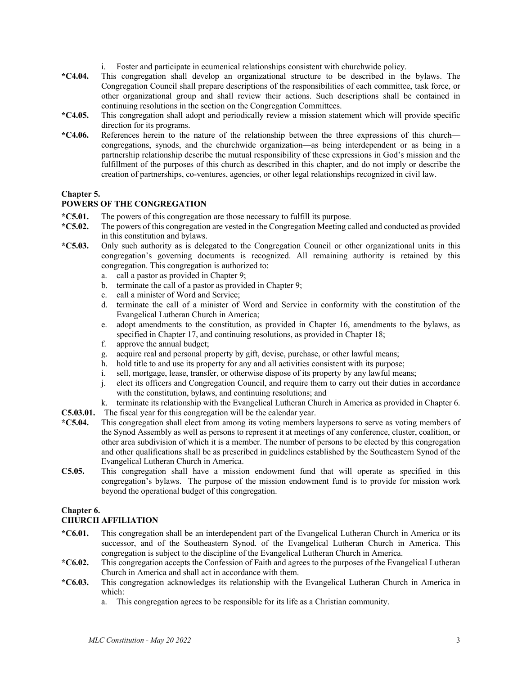- i. Foster and participate in ecumenical relationships consistent with churchwide policy.
- **\*C4.04.** This congregation shall develop an organizational structure to be described in the bylaws. The Congregation Council shall prepare descriptions of the responsibilities of each committee, task force, or other organizational group and shall review their actions. Such descriptions shall be contained in continuing resolutions in the section on the Congregation Committees.
- **\*C4.05.** This congregation shall adopt and periodically review a mission statement which will provide specific direction for its programs.
- **\*C4.06.** References herein to the nature of the relationship between the three expressions of this church congregations, synods, and the churchwide organization—as being interdependent or as being in a partnership relationship describe the mutual responsibility of these expressions in God's mission and the fulfillment of the purposes of this church as described in this chapter, and do not imply or describe the creation of partnerships, co-ventures, agencies, or other legal relationships recognized in civil law.

#### **Chapter 5.**

#### **POWERS OF THE CONGREGATION**

- **\*C5.01.** The powers of this congregation are those necessary to fulfill its purpose.
- **\*C5.02.** The powers of this congregation are vested in the Congregation Meeting called and conducted as provided in this constitution and bylaws.
- **\*C5.03.** Only such authority as is delegated to the Congregation Council or other organizational units in this congregation's governing documents is recognized. All remaining authority is retained by this congregation. This congregation is authorized to:
	- a. call a pastor as provided in Chapter 9;
	- b. terminate the call of a pastor as provided in Chapter 9;
	- c. call a minister of Word and Service;
	- d. terminate the call of a minister of Word and Service in conformity with the constitution of the Evangelical Lutheran Church in America;
	- e. adopt amendments to the constitution, as provided in Chapter 16, amendments to the bylaws, as specified in Chapter 17, and continuing resolutions, as provided in Chapter 18;
	- f. approve the annual budget;
	- g. acquire real and personal property by gift, devise, purchase, or other lawful means;
	- h. hold title to and use its property for any and all activities consistent with its purpose;
	- i. sell, mortgage, lease, transfer, or otherwise dispose of its property by any lawful means;
	- j. elect its officers and Congregation Council, and require them to carry out their duties in accordance with the constitution, bylaws, and continuing resolutions; and
	- k. terminate its relationship with the Evangelical Lutheran Church in America as provided in Chapter 6.
- **C5.03.01.** The fiscal year for this congregation will be the calendar year.
- **\*C5.04.** This congregation shall elect from among its voting members laypersons to serve as voting members of the Synod Assembly as well as persons to represent it at meetings of any conference, cluster, coalition, or other area subdivision of which it is a member. The number of persons to be elected by this congregation and other qualifications shall be as prescribed in guidelines established by the Southeastern Synod of the Evangelical Lutheran Church in America.
- **C5.05.** This congregation shall have a mission endowment fund that will operate as specified in this congregation's bylaws. The purpose of the mission endowment fund is to provide for mission work beyond the operational budget of this congregation.

#### **Chapter 6.**

#### **CHURCH AFFILIATION**

- **\*C6.01.** This congregation shall be an interdependent part of the Evangelical Lutheran Church in America or its successor, and of the Southeastern Synod. of the Evangelical Lutheran Church in America. This congregation is subject to the discipline of the Evangelical Lutheran Church in America.
- **\*C6.02.** This congregation accepts the Confession of Faith and agrees to the purposes of the Evangelical Lutheran Church in America and shall act in accordance with them.
- **\*C6.03.** This congregation acknowledges its relationship with the Evangelical Lutheran Church in America in which:
	- a. This congregation agrees to be responsible for its life as a Christian community.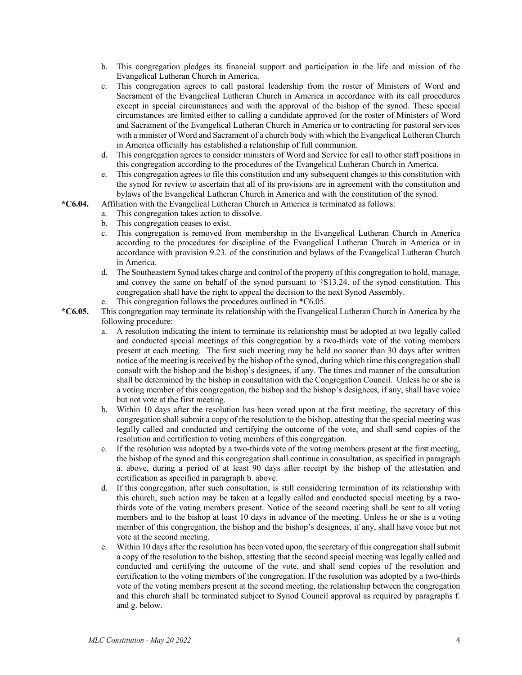- b. This congregation pledges its financial support and participation in the life and mission of the Evangelical Lutheran Church in America.
- c. This congregation agrees to call pastoral leadership from the roster of Ministers of Word and Sacrament of the Evangelical Lutheran Church in America in accordance with its call procedures except in special circumstances and with the approval of the bishop of the synod. These special circumstances are limited either to calling a candidate approved for the roster of Ministers of Word and Sacrament of the Evangelical Lutheran Church in America or to contracting for pastoral services with a minister of Word and Sacrament of a church body with which the Evangelical Lutheran Church in America officially has established a relationship of full communion.
- d. This congregation agrees to consider ministers of Word and Service for call to other staff positions in this congregation according to the procedures of the Evangelical Lutheran Church in America.
- e. This congregation agrees to file this constitution and any subsequent changes to this constitution with the synod for review to ascertain that all of its provisions are in agreement with the constitution and bylaws of the Evangelical Lutheran Church in America and with the constitution of the synod.
- **\*C6.04.** Affiliation with the Evangelical Lutheran Church in America is terminated as follows:
	- a. This congregation takes action to dissolve.
	- b. This congregation ceases to exist.
	- c. This congregation is removed from membership in the Evangelical Lutheran Church in America according to the procedures for discipline of the Evangelical Lutheran Church in America or in accordance with provision 9.23. of the constitution and bylaws of the Evangelical Lutheran Church in America.
	- d. The Southeastern Synod takes charge and control of the property of this congregation to hold, manage, and convey the same on behalf of the synod pursuant to †S13.24. of the synod constitution. This congregation shall have the right to appeal the decision to the next Synod Assembly.
	- e. This congregation follows the procedures outlined in \*C6.05.
- **\*C6.05.** This congregation may terminate its relationship with the Evangelical Lutheran Church in America by the following procedure:
	- a. A resolution indicating the intent to terminate its relationship must be adopted at two legally called and conducted special meetings of this congregation by a two-thirds vote of the voting members present at each meeting. The first such meeting may be held no sooner than 30 days after written notice of the meeting is received by the bishop of the synod, during which time this congregation shall consult with the bishop and the bishop's designees, if any. The times and manner of the consultation shall be determined by the bishop in consultation with the Congregation Council. Unless he or she is a voting member of this congregation, the bishop and the bishop's designees, if any, shall have voice but not vote at the first meeting.
	- b. Within 10 days after the resolution has been voted upon at the first meeting, the secretary of this congregation shall submit a copy of the resolution to the bishop, attesting that the special meeting was legally called and conducted and certifying the outcome of the vote, and shall send copies of the resolution and certification to voting members of this congregation.
	- c. If the resolution was adopted by a two-thirds vote of the voting members present at the first meeting, the bishop of the synod and this congregation shall continue in consultation, as specified in paragraph a. above, during a period of at least 90 days after receipt by the bishop of the attestation and certification as specified in paragraph b. above.
	- d. If this congregation, after such consultation, is still considering termination of its relationship with this church, such action may be taken at a legally called and conducted special meeting by a twothirds vote of the voting members present. Notice of the second meeting shall be sent to all voting members and to the bishop at least 10 days in advance of the meeting. Unless he or she is a voting member of this congregation, the bishop and the bishop's designees, if any, shall have voice but not vote at the second meeting.
	- e. Within 10 days after the resolution has been voted upon, the secretary of this congregation shall submit a copy of the resolution to the bishop, attesting that the second special meeting was legally called and conducted and certifying the outcome of the vote, and shall send copies of the resolution and certification to the voting members of the congregation. If the resolution was adopted by a two-thirds vote of the voting members present at the second meeting, the relationship between the congregation and this church shall be terminated subject to Synod Council approval as required by paragraphs f. and g. below.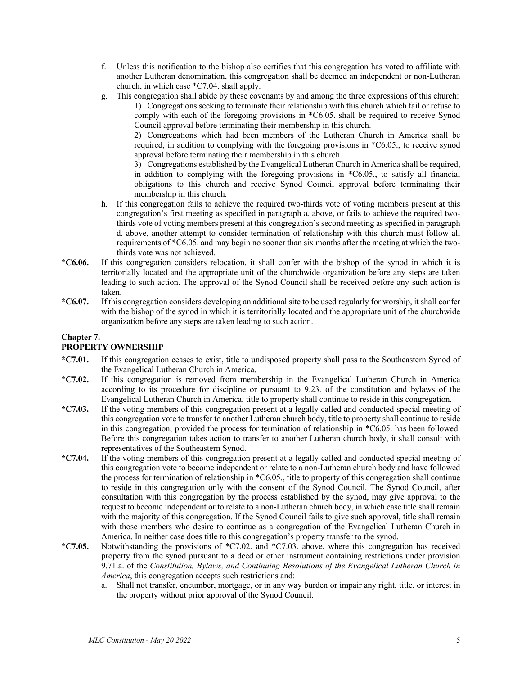- f. Unless this notification to the bishop also certifies that this congregation has voted to affiliate with another Lutheran denomination, this congregation shall be deemed an independent or non-Lutheran church, in which case \*C7.04. shall apply.
- g. This congregation shall abide by these covenants by and among the three expressions of this church:
	- 1) Congregations seeking to terminate their relationship with this church which fail or refuse to comply with each of the foregoing provisions in \*C6.05. shall be required to receive Synod Council approval before terminating their membership in this church.

2) Congregations which had been members of the Lutheran Church in America shall be required, in addition to complying with the foregoing provisions in \*C6.05., to receive synod approval before terminating their membership in this church.

3) Congregations established by the Evangelical Lutheran Church in America shall be required, in addition to complying with the foregoing provisions in \*C6.05., to satisfy all financial obligations to this church and receive Synod Council approval before terminating their membership in this church.

- h. If this congregation fails to achieve the required two-thirds vote of voting members present at this congregation's first meeting as specified in paragraph a. above, or fails to achieve the required twothirds vote of voting members present at this congregation's second meeting as specified in paragraph d. above, another attempt to consider termination of relationship with this church must follow all requirements of \*C6.05. and may begin no sooner than six months after the meeting at which the twothirds vote was not achieved.
- **\*C6.06.** If this congregation considers relocation, it shall confer with the bishop of the synod in which it is territorially located and the appropriate unit of the churchwide organization before any steps are taken leading to such action. The approval of the Synod Council shall be received before any such action is taken.
- **\*C6.07.** If this congregation considers developing an additional site to be used regularly for worship, it shall confer with the bishop of the synod in which it is territorially located and the appropriate unit of the churchwide organization before any steps are taken leading to such action.

### **Chapter 7.**

#### **PROPERTY OWNERSHIP**

- **\*C7.01.** If this congregation ceases to exist, title to undisposed property shall pass to the Southeastern Synod of the Evangelical Lutheran Church in America.
- **\*C7.02.** If this congregation is removed from membership in the Evangelical Lutheran Church in America according to its procedure for discipline or pursuant to 9.23. of the constitution and bylaws of the Evangelical Lutheran Church in America, title to property shall continue to reside in this congregation.
- **\*C7.03.** If the voting members of this congregation present at a legally called and conducted special meeting of this congregation vote to transfer to another Lutheran church body, title to property shall continue to reside in this congregation, provided the process for termination of relationship in \*C6.05. has been followed. Before this congregation takes action to transfer to another Lutheran church body, it shall consult with representatives of the Southeastern Synod.
- **\*C7.04.** If the voting members of this congregation present at a legally called and conducted special meeting of this congregation vote to become independent or relate to a non-Lutheran church body and have followed the process for termination of relationship in \*C6.05., title to property of this congregation shall continue to reside in this congregation only with the consent of the Synod Council. The Synod Council, after consultation with this congregation by the process established by the synod, may give approval to the request to become independent or to relate to a non-Lutheran church body, in which case title shall remain with the majority of this congregation. If the Synod Council fails to give such approval, title shall remain with those members who desire to continue as a congregation of the Evangelical Lutheran Church in America. In neither case does title to this congregation's property transfer to the synod.
- **\*C7.05.** Notwithstanding the provisions of \*C7.02. and \*C7.03. above, where this congregation has received property from the synod pursuant to a deed or other instrument containing restrictions under provision 9.71.a. of the *Constitution, Bylaws, and Continuing Resolutions of the Evangelical Lutheran Church in America*, this congregation accepts such restrictions and:
	- a. Shall not transfer, encumber, mortgage, or in any way burden or impair any right, title, or interest in the property without prior approval of the Synod Council.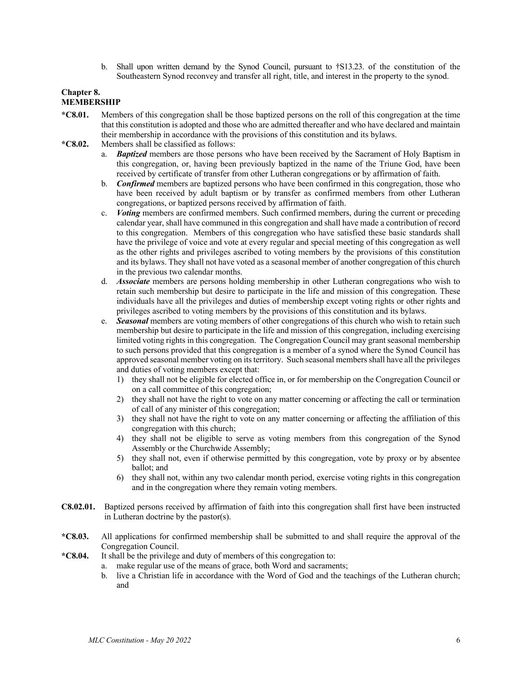b. Shall upon written demand by the Synod Council, pursuant to †S13.23. of the constitution of the Southeastern Synod reconvey and transfer all right, title, and interest in the property to the synod.

#### **Chapter 8. MEMBERSHIP**

- **\*C8.01.** Members of this congregation shall be those baptized persons on the roll of this congregation at the time that this constitution is adopted and those who are admitted thereafter and who have declared and maintain their membership in accordance with the provisions of this constitution and its bylaws.
- **\*C8.02.** Members shall be classified as follows:
	- a. *Baptized* members are those persons who have been received by the Sacrament of Holy Baptism in this congregation, or, having been previously baptized in the name of the Triune God, have been received by certificate of transfer from other Lutheran congregations or by affirmation of faith.
	- b. *Confirmed* members are baptized persons who have been confirmed in this congregation, those who have been received by adult baptism or by transfer as confirmed members from other Lutheran congregations, or baptized persons received by affirmation of faith.
	- c. *Voting* members are confirmed members. Such confirmed members, during the current or preceding calendar year, shall have communed in this congregation and shall have made a contribution of record to this congregation. Members of this congregation who have satisfied these basic standards shall have the privilege of voice and vote at every regular and special meeting of this congregation as well as the other rights and privileges ascribed to voting members by the provisions of this constitution and its bylaws. They shall not have voted as a seasonal member of another congregation of this church in the previous two calendar months.
	- d. *Associate* members are persons holding membership in other Lutheran congregations who wish to retain such membership but desire to participate in the life and mission of this congregation. These individuals have all the privileges and duties of membership except voting rights or other rights and privileges ascribed to voting members by the provisions of this constitution and its bylaws.
	- e. *Seasonal* members are voting members of other congregations of this church who wish to retain such membership but desire to participate in the life and mission of this congregation, including exercising limited voting rights in this congregation. The Congregation Council may grant seasonal membership to such persons provided that this congregation is a member of a synod where the Synod Council has approved seasonal member voting on its territory. Such seasonal members shall have all the privileges and duties of voting members except that:
		- 1) they shall not be eligible for elected office in, or for membership on the Congregation Council or on a call committee of this congregation;
		- 2) they shall not have the right to vote on any matter concerning or affecting the call or termination of call of any minister of this congregation;
		- 3) they shall not have the right to vote on any matter concerning or affecting the affiliation of this congregation with this church;
		- 4) they shall not be eligible to serve as voting members from this congregation of the Synod Assembly or the Churchwide Assembly;
		- 5) they shall not, even if otherwise permitted by this congregation, vote by proxy or by absentee ballot; and
		- 6) they shall not, within any two calendar month period, exercise voting rights in this congregation and in the congregation where they remain voting members.
- **C8.02.01.** Baptized persons received by affirmation of faith into this congregation shall first have been instructed in Lutheran doctrine by the pastor(s).
- **\*C8.03.** All applications for confirmed membership shall be submitted to and shall require the approval of the Congregation Council.
- **\*C8.04.** It shall be the privilege and duty of members of this congregation to:
	- a. make regular use of the means of grace, both Word and sacraments;
	- b. live a Christian life in accordance with the Word of God and the teachings of the Lutheran church; and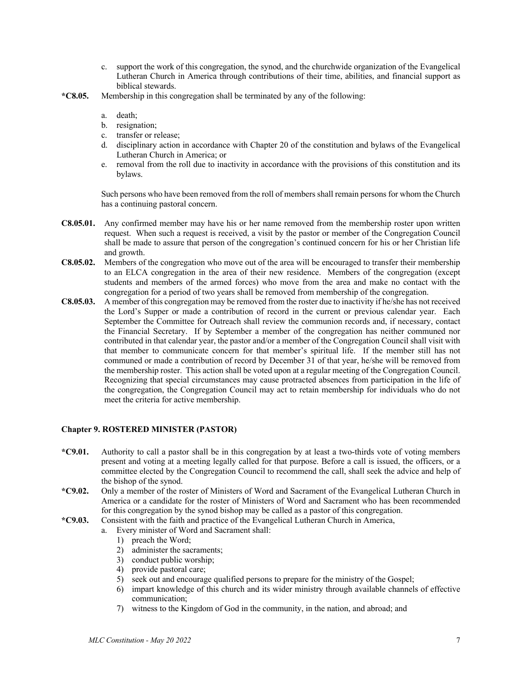- c. support the work of this congregation, the synod, and the churchwide organization of the Evangelical Lutheran Church in America through contributions of their time, abilities, and financial support as biblical stewards.
- **\*C8.05.** Membership in this congregation shall be terminated by any of the following:
	- a. death;
	- b. resignation;
	- c. transfer or release;
	- d. disciplinary action in accordance with Chapter 20 of the constitution and bylaws of the Evangelical Lutheran Church in America; or
	- e. removal from the roll due to inactivity in accordance with the provisions of this constitution and its bylaws.

Such persons who have been removed from the roll of members shall remain persons for whom the Church has a continuing pastoral concern.

- **C8.05.01.** Any confirmed member may have his or her name removed from the membership roster upon written request. When such a request is received, a visit by the pastor or member of the Congregation Council shall be made to assure that person of the congregation's continued concern for his or her Christian life and growth.
- **C8.05.02.** Members of the congregation who move out of the area will be encouraged to transfer their membership to an ELCA congregation in the area of their new residence. Members of the congregation (except students and members of the armed forces) who move from the area and make no contact with the congregation for a period of two years shall be removed from membership of the congregation.
- **C8.05.03.** A member of this congregation may be removed from the roster due to inactivity if he/she has not received the Lord's Supper or made a contribution of record in the current or previous calendar year. Each September the Committee for Outreach shall review the communion records and, if necessary, contact the Financial Secretary. If by September a member of the congregation has neither communed nor contributed in that calendar year, the pastor and/or a member of the Congregation Council shall visit with that member to communicate concern for that member's spiritual life. If the member still has not communed or made a contribution of record by December 31 of that year, he/she will be removed from the membership roster. This action shall be voted upon at a regular meeting of the Congregation Council. Recognizing that special circumstances may cause protracted absences from participation in the life of the congregation, the Congregation Council may act to retain membership for individuals who do not meet the criteria for active membership.

#### **Chapter 9. ROSTERED MINISTER (PASTOR)**

- **\*C9.01.** Authority to call a pastor shall be in this congregation by at least a two-thirds vote of voting members present and voting at a meeting legally called for that purpose. Before a call is issued, the officers, or a committee elected by the Congregation Council to recommend the call, shall seek the advice and help of the bishop of the synod.
- **\*C9.02.** Only a member of the roster of Ministers of Word and Sacrament of the Evangelical Lutheran Church in America or a candidate for the roster of Ministers of Word and Sacrament who has been recommended for this congregation by the synod bishop may be called as a pastor of this congregation.
- **\*C9.03.** Consistent with the faith and practice of the Evangelical Lutheran Church in America,
	- a. Every minister of Word and Sacrament shall:
		- 1) preach the Word;
		- 2) administer the sacraments;
		- 3) conduct public worship;
		- 4) provide pastoral care;
		- 5) seek out and encourage qualified persons to prepare for the ministry of the Gospel;
		- 6) impart knowledge of this church and its wider ministry through available channels of effective communication;
		- 7) witness to the Kingdom of God in the community, in the nation, and abroad; and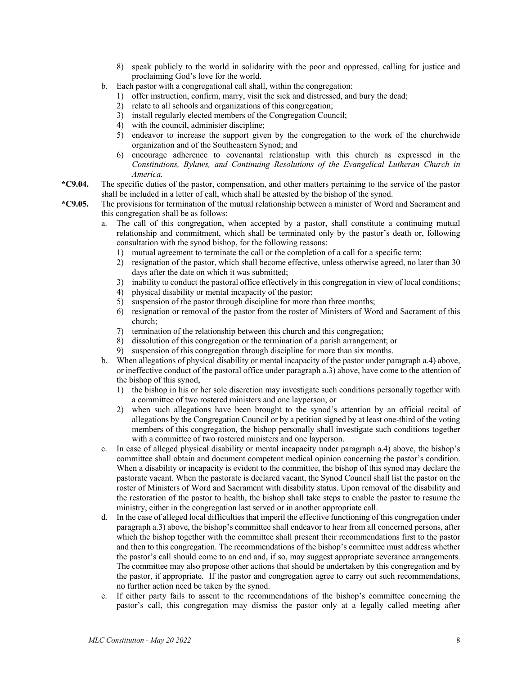- 8) speak publicly to the world in solidarity with the poor and oppressed, calling for justice and proclaiming God's love for the world.
- b. Each pastor with a congregational call shall, within the congregation:
	- 1) offer instruction, confirm, marry, visit the sick and distressed, and bury the dead;
	- 2) relate to all schools and organizations of this congregation;
	- 3) install regularly elected members of the Congregation Council;
	- 4) with the council, administer discipline;
	- 5) endeavor to increase the support given by the congregation to the work of the churchwide organization and of the Southeastern Synod; and
	- 6) encourage adherence to covenantal relationship with this church as expressed in the *Constitutions, Bylaws, and Continuing Resolutions of the Evangelical Lutheran Church in America.*
- **\*C9.04.** The specific duties of the pastor, compensation, and other matters pertaining to the service of the pastor shall be included in a letter of call, which shall be attested by the bishop of the synod.
- **\*C9.05.** The provisions for termination of the mutual relationship between a minister of Word and Sacrament and this congregation shall be as follows:
	- a. The call of this congregation, when accepted by a pastor, shall constitute a continuing mutual relationship and commitment, which shall be terminated only by the pastor's death or, following consultation with the synod bishop, for the following reasons:
		- 1) mutual agreement to terminate the call or the completion of a call for a specific term;
		- 2) resignation of the pastor, which shall become effective, unless otherwise agreed, no later than 30 days after the date on which it was submitted;
		- 3) inability to conduct the pastoral office effectively in this congregation in view of local conditions;
		- 4) physical disability or mental incapacity of the pastor;
		- 5) suspension of the pastor through discipline for more than three months;
		- 6) resignation or removal of the pastor from the roster of Ministers of Word and Sacrament of this church;
		- 7) termination of the relationship between this church and this congregation;
		- 8) dissolution of this congregation or the termination of a parish arrangement; or
		- 9) suspension of this congregation through discipline for more than six months.
	- b. When allegations of physical disability or mental incapacity of the pastor under paragraph a.4) above, or ineffective conduct of the pastoral office under paragraph a.3) above, have come to the attention of the bishop of this synod,
		- 1) the bishop in his or her sole discretion may investigate such conditions personally together with a committee of two rostered ministers and one layperson, or
		- 2) when such allegations have been brought to the synod's attention by an official recital of allegations by the Congregation Council or by a petition signed by at least one-third of the voting members of this congregation, the bishop personally shall investigate such conditions together with a committee of two rostered ministers and one layperson.
	- c. In case of alleged physical disability or mental incapacity under paragraph a.4) above, the bishop's committee shall obtain and document competent medical opinion concerning the pastor's condition. When a disability or incapacity is evident to the committee, the bishop of this synod may declare the pastorate vacant. When the pastorate is declared vacant, the Synod Council shall list the pastor on the roster of Ministers of Word and Sacrament with disability status. Upon removal of the disability and the restoration of the pastor to health, the bishop shall take steps to enable the pastor to resume the ministry, either in the congregation last served or in another appropriate call.
	- d. In the case of alleged local difficulties that imperil the effective functioning of this congregation under paragraph a.3) above, the bishop's committee shall endeavor to hear from all concerned persons, after which the bishop together with the committee shall present their recommendations first to the pastor and then to this congregation. The recommendations of the bishop's committee must address whether the pastor's call should come to an end and, if so, may suggest appropriate severance arrangements. The committee may also propose other actions that should be undertaken by this congregation and by the pastor, if appropriate. If the pastor and congregation agree to carry out such recommendations, no further action need be taken by the synod.
	- e. If either party fails to assent to the recommendations of the bishop's committee concerning the pastor's call, this congregation may dismiss the pastor only at a legally called meeting after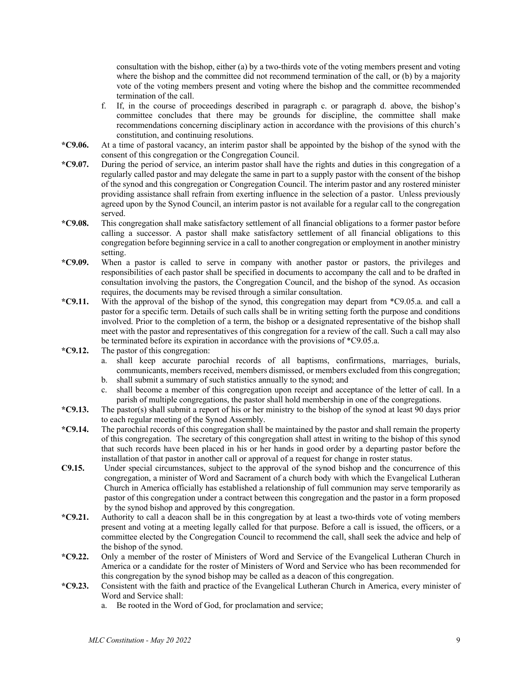consultation with the bishop, either (a) by a two-thirds vote of the voting members present and voting where the bishop and the committee did not recommend termination of the call, or (b) by a majority vote of the voting members present and voting where the bishop and the committee recommended termination of the call.

- f. If, in the course of proceedings described in paragraph c. or paragraph d. above, the bishop's committee concludes that there may be grounds for discipline, the committee shall make recommendations concerning disciplinary action in accordance with the provisions of this church's constitution, and continuing resolutions.
- **\*C9.06.** At a time of pastoral vacancy, an interim pastor shall be appointed by the bishop of the synod with the consent of this congregation or the Congregation Council.
- **\*C9.07.** During the period of service, an interim pastor shall have the rights and duties in this congregation of a regularly called pastor and may delegate the same in part to a supply pastor with the consent of the bishop of the synod and this congregation or Congregation Council. The interim pastor and any rostered minister providing assistance shall refrain from exerting influence in the selection of a pastor. Unless previously agreed upon by the Synod Council, an interim pastor is not available for a regular call to the congregation served.
- **\*C9.08.** This congregation shall make satisfactory settlement of all financial obligations to a former pastor before calling a successor. A pastor shall make satisfactory settlement of all financial obligations to this congregation before beginning service in a call to another congregation or employment in another ministry setting.
- **\*C9.09.** When a pastor is called to serve in company with another pastor or pastors, the privileges and responsibilities of each pastor shall be specified in documents to accompany the call and to be drafted in consultation involving the pastors, the Congregation Council, and the bishop of the synod. As occasion requires, the documents may be revised through a similar consultation.
- **\*C9.11.** With the approval of the bishop of the synod, this congregation may depart from \*C9.05.a. and call a pastor for a specific term. Details of such calls shall be in writing setting forth the purpose and conditions involved. Prior to the completion of a term, the bishop or a designated representative of the bishop shall meet with the pastor and representatives of this congregation for a review of the call. Such a call may also be terminated before its expiration in accordance with the provisions of \*C9.05.a.
- **\*C9.12.** The pastor of this congregation:
	- a. shall keep accurate parochial records of all baptisms, confirmations, marriages, burials, communicants, members received, members dismissed, or members excluded from this congregation; b. shall submit a summary of such statistics annually to the synod; and
	- c. shall become a member of this congregation upon receipt and acceptance of the letter of call. In a parish of multiple congregations, the pastor shall hold membership in one of the congregations.
- **\*C9.13.** The pastor(s) shall submit a report of his or her ministry to the bishop of the synod at least 90 days prior to each regular meeting of the Synod Assembly.
- **\*C9.14.** The parochial records of this congregation shall be maintained by the pastor and shall remain the property of this congregation. The secretary of this congregation shall attest in writing to the bishop of this synod that such records have been placed in his or her hands in good order by a departing pastor before the installation of that pastor in another call or approval of a request for change in roster status.
- **C9.15.** Under special circumstances, subject to the approval of the synod bishop and the concurrence of this congregation, a minister of Word and Sacrament of a church body with which the Evangelical Lutheran Church in America officially has established a relationship of full communion may serve temporarily as pastor of this congregation under a contract between this congregation and the pastor in a form proposed by the synod bishop and approved by this congregation.
- **\*C9.21.** Authority to call a deacon shall be in this congregation by at least a two-thirds vote of voting members present and voting at a meeting legally called for that purpose. Before a call is issued, the officers, or a committee elected by the Congregation Council to recommend the call, shall seek the advice and help of the bishop of the synod.
- **\*C9.22.** Only a member of the roster of Ministers of Word and Service of the Evangelical Lutheran Church in America or a candidate for the roster of Ministers of Word and Service who has been recommended for this congregation by the synod bishop may be called as a deacon of this congregation.
- **\*C9.23.** Consistent with the faith and practice of the Evangelical Lutheran Church in America, every minister of Word and Service shall:
	- a. Be rooted in the Word of God, for proclamation and service;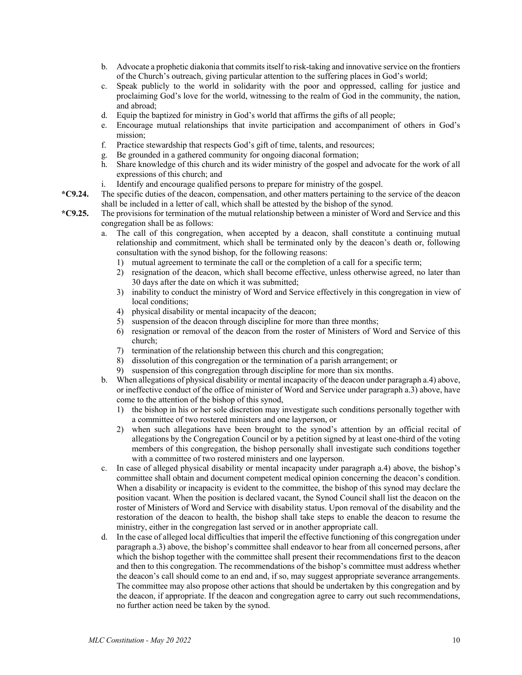- b. Advocate a prophetic diakonia that commits itself to risk-taking and innovative service on the frontiers of the Church's outreach, giving particular attention to the suffering places in God's world;
- c. Speak publicly to the world in solidarity with the poor and oppressed, calling for justice and proclaiming God's love for the world, witnessing to the realm of God in the community, the nation, and abroad;
- d. Equip the baptized for ministry in God's world that affirms the gifts of all people;
- e. Encourage mutual relationships that invite participation and accompaniment of others in God's mission;
- f. Practice stewardship that respects God's gift of time, talents, and resources;
- g. Be grounded in a gathered community for ongoing diaconal formation;
- h. Share knowledge of this church and its wider ministry of the gospel and advocate for the work of all expressions of this church; and
- i. Identify and encourage qualified persons to prepare for ministry of the gospel.
- **\*C9.24.** The specific duties of the deacon, compensation, and other matters pertaining to the service of the deacon shall be included in a letter of call, which shall be attested by the bishop of the synod.
- **\*C9.25.** The provisions for termination of the mutual relationship between a minister of Word and Service and this congregation shall be as follows:
	- a. The call of this congregation, when accepted by a deacon, shall constitute a continuing mutual relationship and commitment, which shall be terminated only by the deacon's death or, following consultation with the synod bishop, for the following reasons:
		- 1) mutual agreement to terminate the call or the completion of a call for a specific term;
		- 2) resignation of the deacon, which shall become effective, unless otherwise agreed, no later than 30 days after the date on which it was submitted;
		- 3) inability to conduct the ministry of Word and Service effectively in this congregation in view of local conditions:
		- 4) physical disability or mental incapacity of the deacon;
		- 5) suspension of the deacon through discipline for more than three months;
		- 6) resignation or removal of the deacon from the roster of Ministers of Word and Service of this church;
		- 7) termination of the relationship between this church and this congregation;
		- 8) dissolution of this congregation or the termination of a parish arrangement; or
		- 9) suspension of this congregation through discipline for more than six months.
	- b. When allegations of physical disability or mental incapacity of the deacon under paragraph a.4) above, or ineffective conduct of the office of minister of Word and Service under paragraph a.3) above, have come to the attention of the bishop of this synod,
		- 1) the bishop in his or her sole discretion may investigate such conditions personally together with a committee of two rostered ministers and one layperson, or
		- 2) when such allegations have been brought to the synod's attention by an official recital of allegations by the Congregation Council or by a petition signed by at least one-third of the voting members of this congregation, the bishop personally shall investigate such conditions together with a committee of two rostered ministers and one layperson.
	- c. In case of alleged physical disability or mental incapacity under paragraph a.4) above, the bishop's committee shall obtain and document competent medical opinion concerning the deacon's condition. When a disability or incapacity is evident to the committee, the bishop of this synod may declare the position vacant. When the position is declared vacant, the Synod Council shall list the deacon on the roster of Ministers of Word and Service with disability status. Upon removal of the disability and the restoration of the deacon to health, the bishop shall take steps to enable the deacon to resume the ministry, either in the congregation last served or in another appropriate call.
	- d. In the case of alleged local difficulties that imperil the effective functioning of this congregation under paragraph a.3) above, the bishop's committee shall endeavor to hear from all concerned persons, after which the bishop together with the committee shall present their recommendations first to the deacon and then to this congregation. The recommendations of the bishop's committee must address whether the deacon's call should come to an end and, if so, may suggest appropriate severance arrangements. The committee may also propose other actions that should be undertaken by this congregation and by the deacon, if appropriate. If the deacon and congregation agree to carry out such recommendations, no further action need be taken by the synod.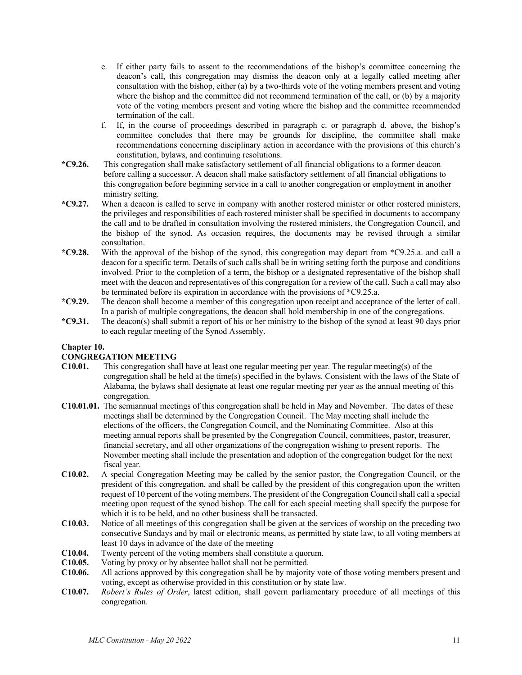- e. If either party fails to assent to the recommendations of the bishop's committee concerning the deacon's call, this congregation may dismiss the deacon only at a legally called meeting after consultation with the bishop, either (a) by a two-thirds vote of the voting members present and voting where the bishop and the committee did not recommend termination of the call, or (b) by a majority vote of the voting members present and voting where the bishop and the committee recommended termination of the call.
- f. If, in the course of proceedings described in paragraph c. or paragraph d. above, the bishop's committee concludes that there may be grounds for discipline, the committee shall make recommendations concerning disciplinary action in accordance with the provisions of this church's constitution, bylaws, and continuing resolutions.
- **\*C9.26.** This congregation shall make satisfactory settlement of all financial obligations to a former deacon before calling a successor. A deacon shall make satisfactory settlement of all financial obligations to this congregation before beginning service in a call to another congregation or employment in another ministry setting.
- **\*C9.27.** When a deacon is called to serve in company with another rostered minister or other rostered ministers, the privileges and responsibilities of each rostered minister shall be specified in documents to accompany the call and to be drafted in consultation involving the rostered ministers, the Congregation Council, and the bishop of the synod. As occasion requires, the documents may be revised through a similar consultation.
- **\*C9.28.** With the approval of the bishop of the synod, this congregation may depart from \*C9.25.a. and call a deacon for a specific term. Details of such calls shall be in writing setting forth the purpose and conditions involved. Prior to the completion of a term, the bishop or a designated representative of the bishop shall meet with the deacon and representatives of this congregation for a review of the call. Such a call may also be terminated before its expiration in accordance with the provisions of \*C9.25.a.
- **\*C9.29.** The deacon shall become a member of this congregation upon receipt and acceptance of the letter of call. In a parish of multiple congregations, the deacon shall hold membership in one of the congregations.
- **\*C9.31.** The deacon(s) shall submit a report of his or her ministry to the bishop of the synod at least 90 days prior to each regular meeting of the Synod Assembly.

#### **Chapter 10.**

#### **CONGREGATION MEETING**

- **C10.01.** This congregation shall have at least one regular meeting per year. The regular meeting(s) of the congregation shall be held at the time(s) specified in the bylaws. Consistent with the laws of the State of Alabama, the bylaws shall designate at least one regular meeting per year as the annual meeting of this congregation.
- **C10.01.01.** The semiannual meetings of this congregation shall be held in May and November. The dates of these meetings shall be determined by the Congregation Council. The May meeting shall include the elections of the officers, the Congregation Council, and the Nominating Committee. Also at this meeting annual reports shall be presented by the Congregation Council, committees, pastor, treasurer, financial secretary, and all other organizations of the congregation wishing to present reports. The November meeting shall include the presentation and adoption of the congregation budget for the next fiscal year.
- **C10.02.** A special Congregation Meeting may be called by the senior pastor, the Congregation Council, or the president of this congregation, and shall be called by the president of this congregation upon the written request of 10 percent of the voting members. The president of the Congregation Council shall call a special meeting upon request of the synod bishop. The call for each special meeting shall specify the purpose for which it is to be held, and no other business shall be transacted.
- **C10.03.** Notice of all meetings of this congregation shall be given at the services of worship on the preceding two consecutive Sundays and by mail or electronic means, as permitted by state law, to all voting members at least 10 days in advance of the date of the meeting
- **C10.04.** Twenty percent of the voting members shall constitute a quorum.
- **C10.05.** Voting by proxy or by absentee ballot shall not be permitted.
- **C10.06.** All actions approved by this congregation shall be by majority vote of those voting members present and voting, except as otherwise provided in this constitution or by state law.
- **C10.07.** *Robert's Rules of Order*, latest edition, shall govern parliamentary procedure of all meetings of this congregation.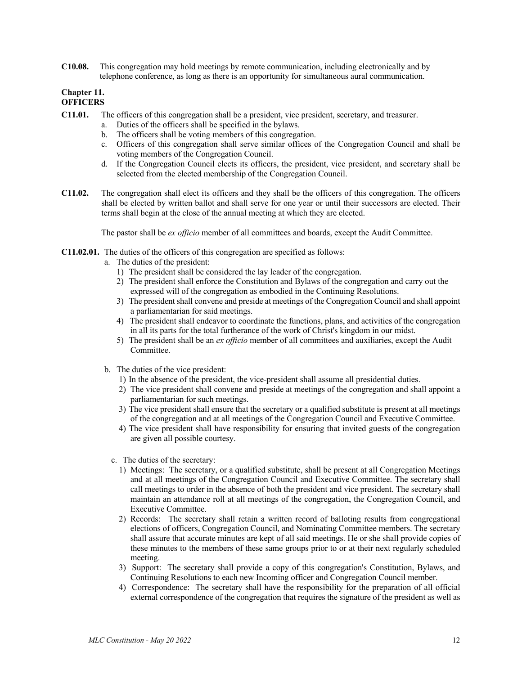**C10.08.** This congregation may hold meetings by remote communication, including electronically and by telephone conference, as long as there is an opportunity for simultaneous aural communication.

#### **Chapter 11. OFFICERS**

- **C11.01.** The officers of this congregation shall be a president, vice president, secretary, and treasurer.
	- a. Duties of the officers shall be specified in the bylaws.
	- b. The officers shall be voting members of this congregation.
	- c. Officers of this congregation shall serve similar offices of the Congregation Council and shall be voting members of the Congregation Council.
	- d. If the Congregation Council elects its officers, the president, vice president, and secretary shall be selected from the elected membership of the Congregation Council.
- **C11.02.** The congregation shall elect its officers and they shall be the officers of this congregation. The officers shall be elected by written ballot and shall serve for one year or until their successors are elected. Their terms shall begin at the close of the annual meeting at which they are elected.

The pastor shall be *ex officio* member of all committees and boards, except the Audit Committee.

- **C11.02.01.** The duties of the officers of this congregation are specified as follows:
	- a. The duties of the president:
		- 1) The president shall be considered the lay leader of the congregation.
		- 2) The president shall enforce the Constitution and Bylaws of the congregation and carry out the expressed will of the congregation as embodied in the Continuing Resolutions.
		- 3) The president shall convene and preside at meetings of the Congregation Council and shall appoint a parliamentarian for said meetings.
		- 4) The president shall endeavor to coordinate the functions, plans, and activities of the congregation in all its parts for the total furtherance of the work of Christ's kingdom in our midst.
		- 5) The president shall be an *ex officio* member of all committees and auxiliaries, except the Audit Committee.
	- b. The duties of the vice president:
		- 1) In the absence of the president, the vice-president shall assume all presidential duties.
		- 2) The vice president shall convene and preside at meetings of the congregation and shall appoint a parliamentarian for such meetings.
		- 3) The vice president shall ensure that the secretary or a qualified substitute is present at all meetings of the congregation and at all meetings of the Congregation Council and Executive Committee.
		- 4) The vice president shall have responsibility for ensuring that invited guests of the congregation are given all possible courtesy.
		- c. The duties of the secretary:
			- 1) Meetings: The secretary, or a qualified substitute, shall be present at all Congregation Meetings and at all meetings of the Congregation Council and Executive Committee. The secretary shall call meetings to order in the absence of both the president and vice president. The secretary shall maintain an attendance roll at all meetings of the congregation, the Congregation Council, and Executive Committee.
			- 2) Records: The secretary shall retain a written record of balloting results from congregational elections of officers, Congregation Council, and Nominating Committee members. The secretary shall assure that accurate minutes are kept of all said meetings. He or she shall provide copies of these minutes to the members of these same groups prior to or at their next regularly scheduled meeting.
			- 3) Support: The secretary shall provide a copy of this congregation's Constitution, Bylaws, and Continuing Resolutions to each new Incoming officer and Congregation Council member.
			- 4) Correspondence: The secretary shall have the responsibility for the preparation of all official external correspondence of the congregation that requires the signature of the president as well as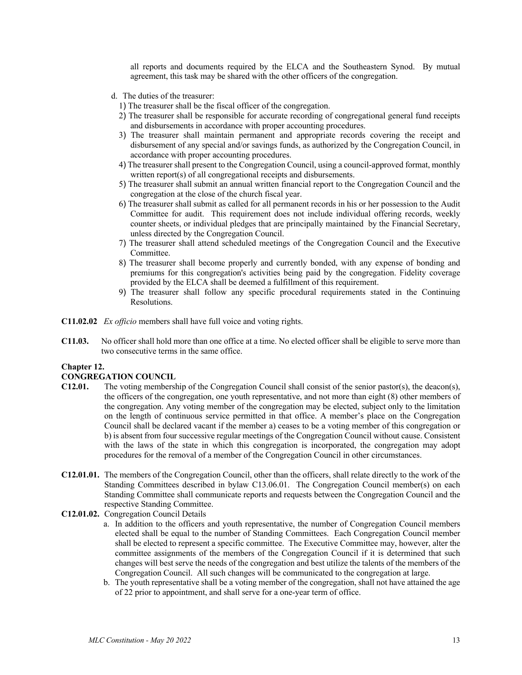all reports and documents required by the ELCA and the Southeastern Synod. By mutual agreement, this task may be shared with the other officers of the congregation.

- d. The duties of the treasurer:
	- 1) The treasurer shall be the fiscal officer of the congregation.
	- 2) The treasurer shall be responsible for accurate recording of congregational general fund receipts and disbursements in accordance with proper accounting procedures.
	- 3) The treasurer shall maintain permanent and appropriate records covering the receipt and disbursement of any special and/or savings funds, as authorized by the Congregation Council, in accordance with proper accounting procedures.
	- 4) The treasurer shall present to the Congregation Council, using a council-approved format, monthly written report(s) of all congregational receipts and disbursements.
	- 5) The treasurer shall submit an annual written financial report to the Congregation Council and the congregation at the close of the church fiscal year.
	- 6) The treasurer shall submit as called for all permanent records in his or her possession to the Audit Committee for audit. This requirement does not include individual offering records, weekly counter sheets, or individual pledges that are principally maintained by the Financial Secretary, unless directed by the Congregation Council.
	- 7) The treasurer shall attend scheduled meetings of the Congregation Council and the Executive Committee.
	- 8) The treasurer shall become properly and currently bonded, with any expense of bonding and premiums for this congregation's activities being paid by the congregation. Fidelity coverage provided by the ELCA shall be deemed a fulfillment of this requirement.
	- 9) The treasurer shall follow any specific procedural requirements stated in the Continuing Resolutions.
- **C11.02.02** *Ex officio* members shall have full voice and voting rights.
- **C11.03.** No officer shall hold more than one office at a time. No elected officer shall be eligible to serve more than two consecutive terms in the same office.

#### **Chapter 12.**

#### **CONGREGATION COUNCIL**

- **C12.01.** The voting membership of the Congregation Council shall consist of the senior pastor(s), the deacon(s), the officers of the congregation, one youth representative, and not more than eight (8) other members of the congregation. Any voting member of the congregation may be elected, subject only to the limitation on the length of continuous service permitted in that office. A member's place on the Congregation Council shall be declared vacant if the member a) ceases to be a voting member of this congregation or b) is absent from four successive regular meetings of the Congregation Council without cause. Consistent with the laws of the state in which this congregation is incorporated, the congregation may adopt procedures for the removal of a member of the Congregation Council in other circumstances.
- **C12.01.01.** The members of the Congregation Council, other than the officers, shall relate directly to the work of the Standing Committees described in bylaw C13.06.01. The Congregation Council member(s) on each Standing Committee shall communicate reports and requests between the Congregation Council and the respective Standing Committee.
- **C12.01.02.** Congregation Council Details
	- a. In addition to the officers and youth representative, the number of Congregation Council members elected shall be equal to the number of Standing Committees. Each Congregation Council member shall be elected to represent a specific committee. The Executive Committee may, however, alter the committee assignments of the members of the Congregation Council if it is determined that such changes will best serve the needs of the congregation and best utilize the talents of the members of the Congregation Council. All such changes will be communicated to the congregation at large.
	- b. The youth representative shall be a voting member of the congregation, shall not have attained the age of 22 prior to appointment, and shall serve for a one-year term of office.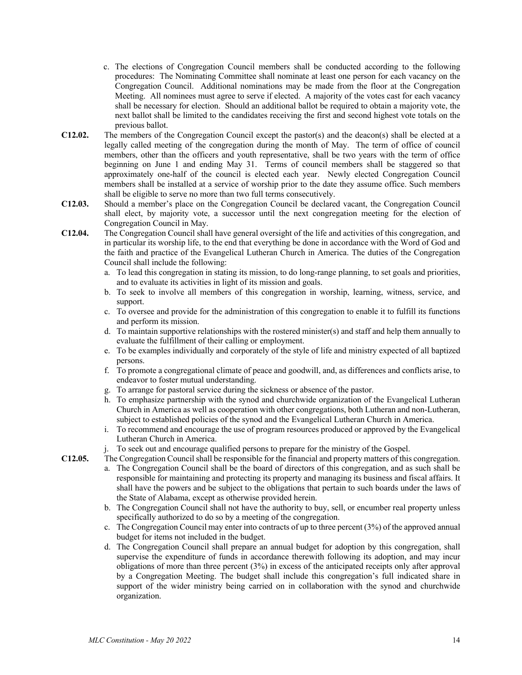- c. The elections of Congregation Council members shall be conducted according to the following procedures: The Nominating Committee shall nominate at least one person for each vacancy on the Congregation Council. Additional nominations may be made from the floor at the Congregation Meeting. All nominees must agree to serve if elected. A majority of the votes cast for each vacancy shall be necessary for election. Should an additional ballot be required to obtain a majority vote, the next ballot shall be limited to the candidates receiving the first and second highest vote totals on the previous ballot.
- **C12.02.** The members of the Congregation Council except the pastor(s) and the deacon(s) shall be elected at a legally called meeting of the congregation during the month of May. The term of office of council members, other than the officers and youth representative, shall be two years with the term of office beginning on June 1 and ending May 31. Terms of council members shall be staggered so that approximately one-half of the council is elected each year. Newly elected Congregation Council members shall be installed at a service of worship prior to the date they assume office. Such members shall be eligible to serve no more than two full terms consecutively.
- **C12.03.** Should a member's place on the Congregation Council be declared vacant, the Congregation Council shall elect, by majority vote, a successor until the next congregation meeting for the election of Congregation Council in May.
- **C12.04.** The Congregation Council shall have general oversight of the life and activities of this congregation, and in particular its worship life, to the end that everything be done in accordance with the Word of God and the faith and practice of the Evangelical Lutheran Church in America. The duties of the Congregation Council shall include the following:
	- a. To lead this congregation in stating its mission, to do long-range planning, to set goals and priorities, and to evaluate its activities in light of its mission and goals.
	- b. To seek to involve all members of this congregation in worship, learning, witness, service, and support.
	- c. To oversee and provide for the administration of this congregation to enable it to fulfill its functions and perform its mission.
	- d. To maintain supportive relationships with the rostered minister(s) and staff and help them annually to evaluate the fulfillment of their calling or employment.
	- e. To be examples individually and corporately of the style of life and ministry expected of all baptized persons.
	- f. To promote a congregational climate of peace and goodwill, and, as differences and conflicts arise, to endeavor to foster mutual understanding.
	- g. To arrange for pastoral service during the sickness or absence of the pastor.
	- h. To emphasize partnership with the synod and churchwide organization of the Evangelical Lutheran Church in America as well as cooperation with other congregations, both Lutheran and non-Lutheran, subject to established policies of the synod and the Evangelical Lutheran Church in America.
	- i. To recommend and encourage the use of program resources produced or approved by the Evangelical Lutheran Church in America.
	- j. To seek out and encourage qualified persons to prepare for the ministry of the Gospel.

**C12.05.** The Congregation Council shall be responsible for the financial and property matters of this congregation.

- a. The Congregation Council shall be the board of directors of this congregation, and as such shall be responsible for maintaining and protecting its property and managing its business and fiscal affairs. It shall have the powers and be subject to the obligations that pertain to such boards under the laws of the State of Alabama, except as otherwise provided herein.
- b. The Congregation Council shall not have the authority to buy, sell, or encumber real property unless specifically authorized to do so by a meeting of the congregation.
- c. The Congregation Council may enter into contracts of up to three percent (3%) of the approved annual budget for items not included in the budget.
- d. The Congregation Council shall prepare an annual budget for adoption by this congregation, shall supervise the expenditure of funds in accordance therewith following its adoption, and may incur obligations of more than three percent (3%) in excess of the anticipated receipts only after approval by a Congregation Meeting. The budget shall include this congregation's full indicated share in support of the wider ministry being carried on in collaboration with the synod and churchwide organization.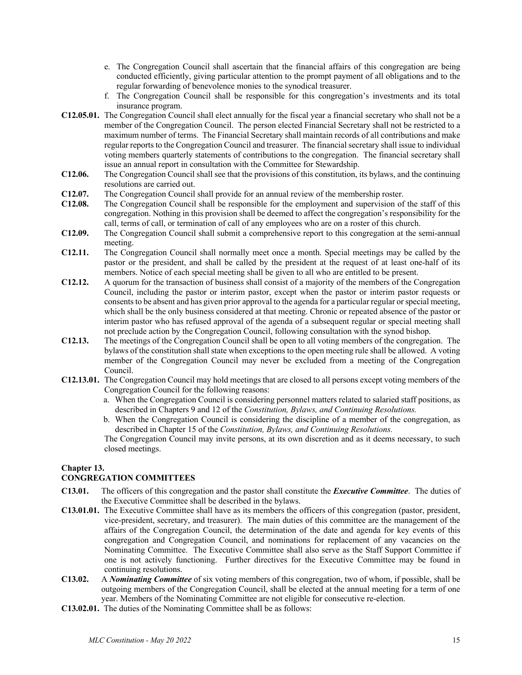- e. The Congregation Council shall ascertain that the financial affairs of this congregation are being conducted efficiently, giving particular attention to the prompt payment of all obligations and to the regular forwarding of benevolence monies to the synodical treasurer.
- f. The Congregation Council shall be responsible for this congregation's investments and its total insurance program.
- **C12.05.01.** The Congregation Council shall elect annually for the fiscal year a financial secretary who shall not be a member of the Congregation Council. The person elected Financial Secretary shall not be restricted to a maximum number of terms. The Financial Secretary shall maintain records of all contributions and make regular reports to the Congregation Council and treasurer. The financial secretary shall issue to individual voting members quarterly statements of contributions to the congregation. The financial secretary shall issue an annual report in consultation with the Committee for Stewardship.
- **C12.06.** The Congregation Council shall see that the provisions of this constitution, its bylaws, and the continuing resolutions are carried out.
- **C12.07.** The Congregation Council shall provide for an annual review of the membership roster.
- **C12.08.** The Congregation Council shall be responsible for the employment and supervision of the staff of this congregation. Nothing in this provision shall be deemed to affect the congregation's responsibility for the call, terms of call, or termination of call of any employees who are on a roster of this church.
- **C12.09.** The Congregation Council shall submit a comprehensive report to this congregation at the semi-annual meeting.
- **C12.11.** The Congregation Council shall normally meet once a month. Special meetings may be called by the pastor or the president, and shall be called by the president at the request of at least one-half of its members. Notice of each special meeting shall be given to all who are entitled to be present.
- **C12.12.** A quorum for the transaction of business shall consist of a majority of the members of the Congregation Council, including the pastor or interim pastor, except when the pastor or interim pastor requests or consents to be absent and has given prior approval to the agenda for a particular regular or special meeting, which shall be the only business considered at that meeting. Chronic or repeated absence of the pastor or interim pastor who has refused approval of the agenda of a subsequent regular or special meeting shall not preclude action by the Congregation Council, following consultation with the synod bishop.
- **C12.13.** The meetings of the Congregation Council shall be open to all voting members of the congregation. The bylaws of the constitution shall state when exceptions to the open meeting rule shall be allowed. A voting member of the Congregation Council may never be excluded from a meeting of the Congregation Council.
- **C12.13.01.** The Congregation Council may hold meetings that are closed to all persons except voting members of the Congregation Council for the following reasons:
	- a. When the Congregation Council is considering personnel matters related to salaried staff positions, as described in Chapters 9 and 12 of the *Constitution, Bylaws, and Continuing Resolutions.*
	- b. When the Congregation Council is considering the discipline of a member of the congregation, as described in Chapter 15 of the *Constitution, Bylaws, and Continuing Resolutions.*

The Congregation Council may invite persons, at its own discretion and as it deems necessary, to such closed meetings.

#### **Chapter 13.**

#### **CONGREGATION COMMITTEES**

- **C13.01.** The officers of this congregation and the pastor shall constitute the *Executive Committee*. The duties of the Executive Committee shall be described in the bylaws.
- **C13.01.01.** The Executive Committee shall have as its members the officers of this congregation (pastor, president, vice-president, secretary, and treasurer). The main duties of this committee are the management of the affairs of the Congregation Council, the determination of the date and agenda for key events of this congregation and Congregation Council, and nominations for replacement of any vacancies on the Nominating Committee. The Executive Committee shall also serve as the Staff Support Committee if one is not actively functioning. Further directives for the Executive Committee may be found in continuing resolutions.
- **C13.02.** A *Nominating Committee* of six voting members of this congregation, two of whom, if possible, shall be outgoing members of the Congregation Council, shall be elected at the annual meeting for a term of one year. Members of the Nominating Committee are not eligible for consecutive re-election.
- **C13.02.01.** The duties of the Nominating Committee shall be as follows: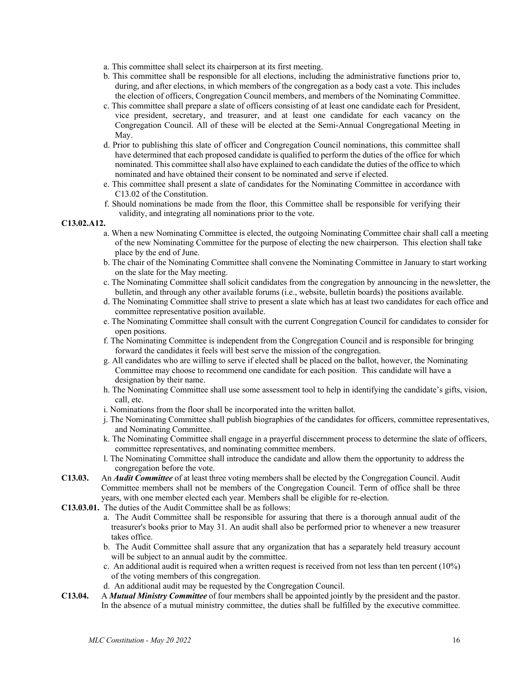- a. This committee shall select its chairperson at its first meeting.
- b. This committee shall be responsible for all elections, including the administrative functions prior to, during, and after elections, in which members of the congregation as a body cast a vote. This includes the election of officers, Congregation Council members, and members of the Nominating Committee.
- c. This committee shall prepare a slate of officers consisting of at least one candidate each for President, vice president, secretary, and treasurer, and at least one candidate for each vacancy on the Congregation Council. All of these will be elected at the Semi-Annual Congregational Meeting in May.
- d. Prior to publishing this slate of officer and Congregation Council nominations, this committee shall have determined that each proposed candidate is qualified to perform the duties of the office for which nominated. This committee shall also have explained to each candidate the duties of the office to which nominated and have obtained their consent to be nominated and serve if elected.
- e. This committee shall present a slate of candidates for the Nominating Committee in accordance with C13.02 of the Constitution.
- f. Should nominations be made from the floor, this Committee shall be responsible for verifying their validity, and integrating all nominations prior to the vote.

#### **C13.02.A12.**

- a. When a new Nominating Committee is elected, the outgoing Nominating Committee chair shall call a meeting of the new Nominating Committee for the purpose of electing the new chairperson. This election shall take place by the end of June.
- b. The chair of the Nominating Committee shall convene the Nominating Committee in January to start working on the slate for the May meeting.
- c. The Nominating Committee shall solicit candidates from the congregation by announcing in the newsletter, the bulletin, and through any other available forums (i.e., website, bulletin boards) the positions available.
- d. The Nominating Committee shall strive to present a slate which has at least two candidates for each office and committee representative position available.
- e. The Nominating Committee shall consult with the current Congregation Council for candidates to consider for open positions.
- f. The Nominating Committee is independent from the Congregation Council and is responsible for bringing forward the candidates it feels will best serve the mission of the congregation.
- g. All candidates who are willing to serve if elected shall be placed on the ballot, however, the Nominating Committee may choose to recommend one candidate for each position. This candidate will have a designation by their name.
- h. The Nominating Committee shall use some assessment tool to help in identifying the candidate's gifts, vision, call, etc.
- i. Nominations from the floor shall be incorporated into the written ballot.
- j. The Nominating Committee shall publish biographies of the candidates for officers, committee representatives, and Nominating Committee.
- k. The Nominating Committee shall engage in a prayerful discernment process to determine the slate of officers, committee representatives, and nominating committee members.
- l. The Nominating Committee shall introduce the candidate and allow them the opportunity to address the congregation before the vote.
- **C13.03.** An *Audit Committee* of at least three voting members shall be elected by the Congregation Council. Audit Committee members shall not be members of the Congregation Council. Term of office shall be three years, with one member elected each year. Members shall be eligible for re-election.
- **C13.03.01.** The duties of the Audit Committee shall be as follows:
	- a. The Audit Committee shall be responsible for assuring that there is a thorough annual audit of the treasurer's books prior to May 31. An audit shall also be performed prior to whenever a new treasurer takes office.
	- b. The Audit Committee shall assure that any organization that has a separately held treasury account will be subject to an annual audit by the committee.
	- c. An additional audit is required when a written request is received from not less than ten percent (10%) of the voting members of this congregation.
	- d. An additional audit may be requested by the Congregation Council.
- **C13.04.** A *Mutual Ministry Committee* of four members shall be appointed jointly by the president and the pastor. In the absence of a mutual ministry committee, the duties shall be fulfilled by the executive committee.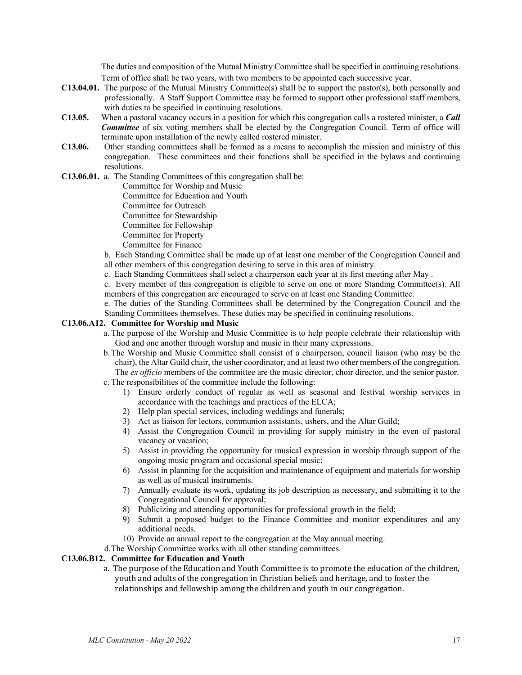The duties and composition of the Mutual Ministry Committee shall be specified in continuing resolutions. Term of office shall be two years, with two members to be appointed each successive year.\*\*

- **C13.04.01.** The purpose of the Mutual Ministry Committee(s) shall be to support the pastor(s), both personally and professionally. A Staff Support Committee may be formed to support other professional staff members, with duties to be specified in continuing resolutions.
- **C13.05.** When a pastoral vacancy occurs in a position for which this congregation calls a rostered minister, a *Call Committee* of six voting members shall be elected by the Congregation Council. Term of office will terminate upon installation of the newly called rostered minister.
- **C13.06.** Other standing committees shall be formed as a means to accomplish the mission and ministry of this congregation. These committees and their functions shall be specified in the bylaws and continuing resolutions.

#### **C13.06.01.** a. The Standing Committees of this congregation shall be:

Committee for Worship and Music

Committee for Education and Youth

Committee for Outreach

Committee for Stewardship

Committee for Fellowship

Committee for Property

Committee for Finance

- b. Each Standing Committee shall be made up of at least one member of the Congregation Council and all other members of this congregation desiring to serve in this area of ministry.
- c. Each Standing Committees shall select a chairperson each year at its first meeting after May .

c. Every member of this congregation is eligible to serve on one or more Standing Committee(s). All members of this congregation are encouraged to serve on at least one Standing Committee.

e. The duties of the Standing Committees shall be determined by the Congregation Council and the Standing Committees themselves. These duties may be specified in continuing resolutions.

#### **C13.06.A12. Committee for Worship and Music**

- a. The purpose of the Worship and Music Committee is to help people celebrate their relationship with God and one another through worship and music in their many expressions.
- b.The Worship and Music Committee shall consist of a chairperson, council liaison (who may be the chair), the Altar Guild chair, the usher coordinator, and at least two other members of the congregation. The *ex officio* members of the committee are the music director, choir director, and the senior pastor. c. The responsibilities of the committee include the following:
	- 1) Ensure orderly conduct of regular as well as seasonal and festival worship services in accordance with the teachings and practices of the ELCA;
	- 2) Help plan special services, including weddings and funerals;
	- 3) Act as liaison for lectors, communion assistants, ushers, and the Altar Guild;
	- 4) Assist the Congregation Council in providing for supply ministry in the even of pastoral vacancy or vacation;
	- 5) Assist in providing the opportunity for musical expression in worship through support of the ongoing music program and occasional special music;
	- 6) Assist in planning for the acquisition and maintenance of equipment and materials for worship as well as of musical instruments.
	- 7) Annually evaluate its work, updating its job description as necessary, and submitting it to the Congregational Council for approval;
	- 8) Publicizing and attending opportunities for professional growth in the field;
	- 9) Submit a proposed budget to the Finance Committee and monitor expenditures and any additional needs.
	- 10) Provide an annual report to the congregation at the May annual meeting.
- d.The Worship Committee works with all other standing committees.

#### **C13.06.B12. Committee for Education and Youth**

a. The purpose of the Education and Youth Committee is to promote the education of the children, youth and adults of the congregation in Christian beliefs and heritage, and to foster the relationships and fellowship among the children and youth in our congregation.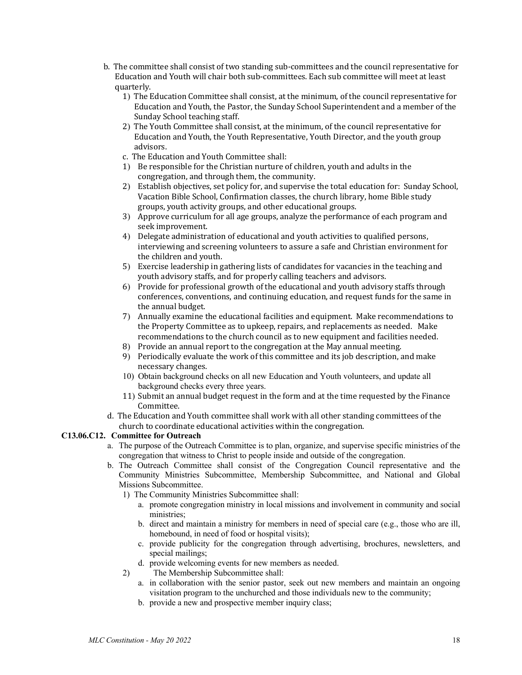- b. The committee shall consist of two standing sub-committees and the council representative for Education and Youth will chair both sub-committees. Each sub committee will meet at least quarterly.
	- 1) The Education Committee shall consist, at the minimum, of the council representative for Education and Youth, the Pastor, the Sunday School Superintendent and a member of the Sunday School teaching staff.
	- 2) The Youth Committee shall consist, at the minimum, of the council representative for Education and Youth, the Youth Representative, Youth Director, and the youth group advisors.
	- c. The Education and Youth Committee shall:
	- 1) Be responsible for the Christian nurture of children, youth and adults in the congregation, and through them, the community.
	- 2) Establish objectives, set policy for, and supervise the total education for: Sunday School, Vacation Bible School, Confirmation classes, the church library, home Bible study groups, youth activity groups, and other educational groups.
	- 3) Approve curriculum for all age groups, analyze the performance of each program and seek improvement.
	- 4) Delegate administration of educational and youth activities to qualified persons, interviewing and screening volunteers to assure a safe and Christian environment for the children and vouth.
	- 5) Exercise leadership in gathering lists of candidates for vacancies in the teaching and youth advisory staffs, and for properly calling teachers and advisors.
	- 6) Provide for professional growth of the educational and youth advisory staffs through conferences, conventions, and continuing education, and request funds for the same in the annual budget.
	- 7) Annually examine the educational facilities and equipment. Make recommendations to the Property Committee as to upkeep, repairs, and replacements as needed. Make recommendations to the church council as to new equipment and facilities needed.
	- 8) Provide an annual report to the congregation at the May annual meeting.
	- 9) Periodically evaluate the work of this committee and its job description, and make necessary changes.
	- 10) Obtain background checks on all new Education and Youth volunteers, and update all background checks every three years.
	- 11) Submit an annual budget request in the form and at the time requested by the Finance Committee.
- d. The Education and Youth committee shall work with all other standing committees of the church to coordinate educational activities within the congregation.

#### **C13.06.C12. Committee for Outreach**

- a. The purpose of the Outreach Committee is to plan, organize, and supervise specific ministries of the congregation that witness to Christ to people inside and outside of the congregation.
- b. The Outreach Committee shall consist of the Congregation Council representative and the Community Ministries Subcommittee, Membership Subcommittee, and National and Global Missions Subcommittee.
	- 1) The Community Ministries Subcommittee shall:
		- a. promote congregation ministry in local missions and involvement in community and social ministries;
		- b. direct and maintain a ministry for members in need of special care (e.g., those who are ill, homebound, in need of food or hospital visits);
		- c. provide publicity for the congregation through advertising, brochures, newsletters, and special mailings;
		- d. provide welcoming events for new members as needed.
	- 2) The Membership Subcommittee shall:
		- a. in collaboration with the senior pastor, seek out new members and maintain an ongoing visitation program to the unchurched and those individuals new to the community;
		- b. provide a new and prospective member inquiry class;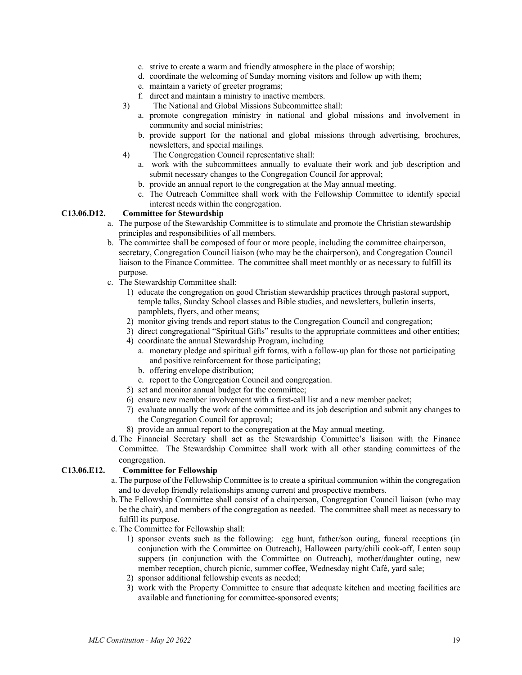- c. strive to create a warm and friendly atmosphere in the place of worship;
- d. coordinate the welcoming of Sunday morning visitors and follow up with them;
- e. maintain a variety of greeter programs;
- f. direct and maintain a ministry to inactive members.
- 3) The National and Global Missions Subcommittee shall:
	- a. promote congregation ministry in national and global missions and involvement in community and social ministries;
	- b. provide support for the national and global missions through advertising, brochures, newsletters, and special mailings.
- 4) The Congregation Council representative shall:
	- a. work with the subcommittees annually to evaluate their work and job description and submit necessary changes to the Congregation Council for approval;
	- b. provide an annual report to the congregation at the May annual meeting.
	- c. The Outreach Committee shall work with the Fellowship Committee to identify special interest needs within the congregation.

#### **C13.06.D12. Committee for Stewardship**

- a. The purpose of the Stewardship Committee is to stimulate and promote the Christian stewardship principles and responsibilities of all members.
- b. The committee shall be composed of four or more people, including the committee chairperson, secretary, Congregation Council liaison (who may be the chairperson), and Congregation Council liaison to the Finance Committee. The committee shall meet monthly or as necessary to fulfill its purpose.
- c. The Stewardship Committee shall:
	- 1) educate the congregation on good Christian stewardship practices through pastoral support, temple talks, Sunday School classes and Bible studies, and newsletters, bulletin inserts, pamphlets, flyers, and other means;
	- 2) monitor giving trends and report status to the Congregation Council and congregation;
	- 3) direct congregational "Spiritual Gifts" results to the appropriate committees and other entities;
	- 4) coordinate the annual Stewardship Program, including
		- a. monetary pledge and spiritual gift forms, with a follow-up plan for those not participating and positive reinforcement for those participating;
		- b. offering envelope distribution;
		- c. report to the Congregation Council and congregation.
	- 5) set and monitor annual budget for the committee;
	- 6) ensure new member involvement with a first-call list and a new member packet;
	- 7) evaluate annually the work of the committee and its job description and submit any changes to the Congregation Council for approval;
	- 8) provide an annual report to the congregation at the May annual meeting.
- d.The Financial Secretary shall act as the Stewardship Committee's liaison with the Finance Committee. The Stewardship Committee shall work with all other standing committees of the congregation.

#### **C13.06.E12. Committee for Fellowship**

- a. The purpose of the Fellowship Committee is to create a spiritual communion within the congregation and to develop friendly relationships among current and prospective members.
- b.The Fellowship Committee shall consist of a chairperson, Congregation Council liaison (who may be the chair), and members of the congregation as needed. The committee shall meet as necessary to fulfill its purpose.
- c. The Committee for Fellowship shall:
	- 1) sponsor events such as the following: egg hunt, father/son outing, funeral receptions (in conjunction with the Committee on Outreach), Halloween party/chili cook-off, Lenten soup suppers (in conjunction with the Committee on Outreach), mother/daughter outing, new member reception, church picnic, summer coffee, Wednesday night Café, yard sale;
	- 2) sponsor additional fellowship events as needed;
	- 3) work with the Property Committee to ensure that adequate kitchen and meeting facilities are available and functioning for committee-sponsored events;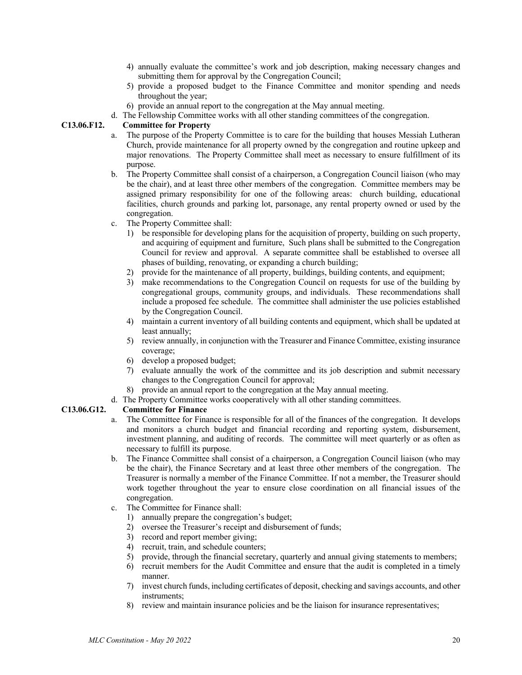- 4) annually evaluate the committee's work and job description, making necessary changes and submitting them for approval by the Congregation Council:
- 5) provide a proposed budget to the Finance Committee and monitor spending and needs throughout the year;
- 6) provide an annual report to the congregation at the May annual meeting.
- d. The Fellowship Committee works with all other standing committees of the congregation.

#### **C13.06.F12. Committee for Property**

- a. The purpose of the Property Committee is to care for the building that houses Messiah Lutheran Church, provide maintenance for all property owned by the congregation and routine upkeep and major renovations. The Property Committee shall meet as necessary to ensure fulfillment of its purpose.
- b. The Property Committee shall consist of a chairperson, a Congregation Council liaison (who may be the chair), and at least three other members of the congregation. Committee members may be assigned primary responsibility for one of the following areas: church building, educational facilities, church grounds and parking lot, parsonage, any rental property owned or used by the congregation.
- c. The Property Committee shall:
	- 1) be responsible for developing plans for the acquisition of property, building on such property, and acquiring of equipment and furniture, Such plans shall be submitted to the Congregation Council for review and approval. A separate committee shall be established to oversee all phases of building, renovating, or expanding a church building;
	- 2) provide for the maintenance of all property, buildings, building contents, and equipment;
	- 3) make recommendations to the Congregation Council on requests for use of the building by congregational groups, community groups, and individuals. These recommendations shall include a proposed fee schedule. The committee shall administer the use policies established by the Congregation Council.
	- 4) maintain a current inventory of all building contents and equipment, which shall be updated at least annually;
	- 5) review annually, in conjunction with the Treasurer and Finance Committee, existing insurance coverage;
	- 6) develop a proposed budget;
	- 7) evaluate annually the work of the committee and its job description and submit necessary changes to the Congregation Council for approval;
	- 8) provide an annual report to the congregation at the May annual meeting.
- d. The Property Committee works cooperatively with all other standing committees.

#### **C13.06.G12. Committee for Finance**

- a. The Committee for Finance is responsible for all of the finances of the congregation. It develops and monitors a church budget and financial recording and reporting system, disbursement, investment planning, and auditing of records. The committee will meet quarterly or as often as necessary to fulfill its purpose.
- b. The Finance Committee shall consist of a chairperson, a Congregation Council liaison (who may be the chair), the Finance Secretary and at least three other members of the congregation. The Treasurer is normally a member of the Finance Committee. If not a member, the Treasurer should work together throughout the year to ensure close coordination on all financial issues of the congregation.
- c. The Committee for Finance shall:
	- 1) annually prepare the congregation's budget;
	- 2) oversee the Treasurer's receipt and disbursement of funds;
	- 3) record and report member giving;
	- 4) recruit, train, and schedule counters;
	- 5) provide, through the financial secretary, quarterly and annual giving statements to members;
	- 6) recruit members for the Audit Committee and ensure that the audit is completed in a timely manner.
	- 7) invest church funds, including certificates of deposit, checking and savings accounts, and other instruments;
	- 8) review and maintain insurance policies and be the liaison for insurance representatives;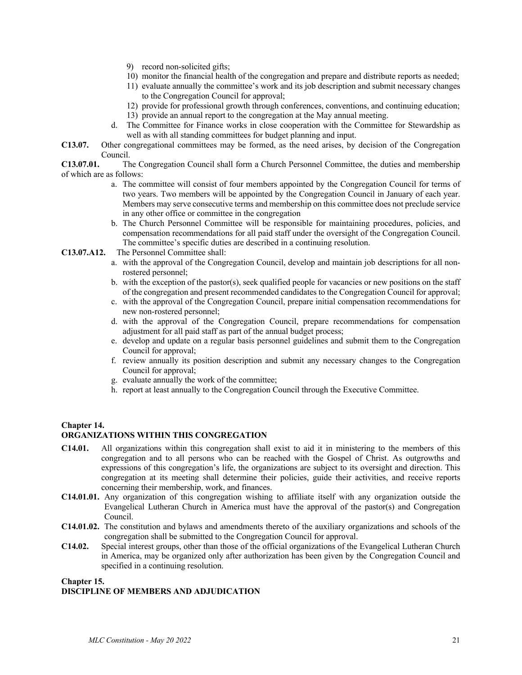- 9) record non-solicited gifts;
- 10) monitor the financial health of the congregation and prepare and distribute reports as needed;
- 11) evaluate annually the committee's work and its job description and submit necessary changes to the Congregation Council for approval;
- 12) provide for professional growth through conferences, conventions, and continuing education;
- 13) provide an annual report to the congregation at the May annual meeting.
- d. The Committee for Finance works in close cooperation with the Committee for Stewardship as well as with all standing committees for budget planning and input.
- **C13.07.** Other congregational committees may be formed, as the need arises, by decision of the Congregation Council.

**C13.07.01.** The Congregation Council shall form a Church Personnel Committee, the duties and membership of which are as follows:

- a. The committee will consist of four members appointed by the Congregation Council for terms of two years. Two members will be appointed by the Congregation Council in January of each year. Members may serve consecutive terms and membership on this committee does not preclude service in any other office or committee in the congregation
- b. The Church Personnel Committee will be responsible for maintaining procedures, policies, and compensation recommendations for all paid staff under the oversight of the Congregation Council. The committee's specific duties are described in a continuing resolution.

#### **C13.07.A12.** The Personnel Committee shall:

- a. with the approval of the Congregation Council, develop and maintain job descriptions for all nonrostered personnel;
- b. with the exception of the pastor(s), seek qualified people for vacancies or new positions on the staff of the congregation and present recommended candidates to the Congregation Council for approval;
- c. with the approval of the Congregation Council, prepare initial compensation recommendations for new non-rostered personnel;
- d. with the approval of the Congregation Council, prepare recommendations for compensation adjustment for all paid staff as part of the annual budget process;
- e. develop and update on a regular basis personnel guidelines and submit them to the Congregation Council for approval;
- f. review annually its position description and submit any necessary changes to the Congregation Council for approval;
- g. evaluate annually the work of the committee;
- h. report at least annually to the Congregation Council through the Executive Committee.

#### **Chapter 14.**

#### **ORGANIZATIONS WITHIN THIS CONGREGATION**

- **C14.01.** All organizations within this congregation shall exist to aid it in ministering to the members of this congregation and to all persons who can be reached with the Gospel of Christ. As outgrowths and expressions of this congregation's life, the organizations are subject to its oversight and direction. This congregation at its meeting shall determine their policies, guide their activities, and receive reports concerning their membership, work, and finances.
- **C14.01.01.** Any organization of this congregation wishing to affiliate itself with any organization outside the Evangelical Lutheran Church in America must have the approval of the pastor(s) and Congregation Council.
- **C14.01.02.** The constitution and bylaws and amendments thereto of the auxiliary organizations and schools of the congregation shall be submitted to the Congregation Council for approval.
- **C14.02.** Special interest groups, other than those of the official organizations of the Evangelical Lutheran Church in America, may be organized only after authorization has been given by the Congregation Council and specified in a continuing resolution.

#### **Chapter 15.**

#### **DISCIPLINE OF MEMBERS AND ADJUDICATION**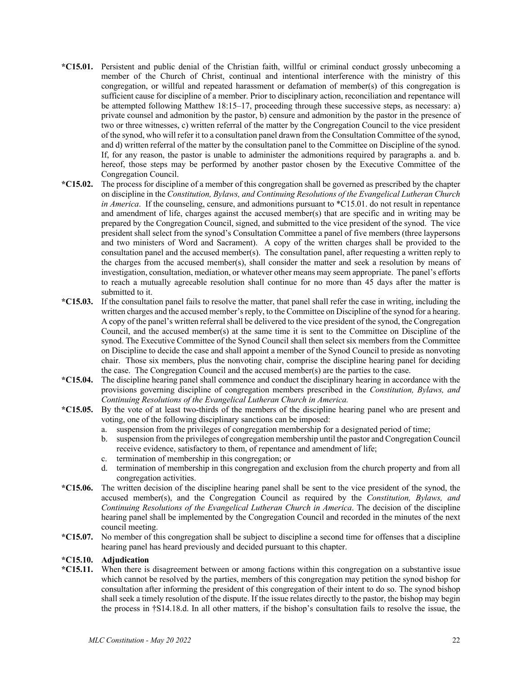- **\*C15.01.** Persistent and public denial of the Christian faith, willful or criminal conduct grossly unbecoming a member of the Church of Christ, continual and intentional interference with the ministry of this congregation, or willful and repeated harassment or defamation of member(s) of this congregation is sufficient cause for discipline of a member. Prior to disciplinary action, reconciliation and repentance will be attempted following Matthew 18:15–17, proceeding through these successive steps, as necessary: a) private counsel and admonition by the pastor, b) censure and admonition by the pastor in the presence of two or three witnesses, c) written referral of the matter by the Congregation Council to the vice president of the synod, who will refer it to a consultation panel drawn from the Consultation Committee of the synod, and d) written referral of the matter by the consultation panel to the Committee on Discipline of the synod. If, for any reason, the pastor is unable to administer the admonitions required by paragraphs a. and b. hereof, those steps may be performed by another pastor chosen by the Executive Committee of the Congregation Council.
- **\*C15.02.** The process for discipline of a member of this congregation shall be governed as prescribed by the chapter on discipline in the *Constitution, Bylaws, and Continuing Resolutions of the Evangelical Lutheran Church in America*. If the counseling, censure, and admonitions pursuant to \*C15.01. do not result in repentance and amendment of life, charges against the accused member(s) that are specific and in writing may be prepared by the Congregation Council, signed, and submitted to the vice president of the synod. The vice president shall select from the synod's Consultation Committee a panel of five members (three laypersons and two ministers of Word and Sacrament). A copy of the written charges shall be provided to the consultation panel and the accused member(s). The consultation panel, after requesting a written reply to the charges from the accused member(s), shall consider the matter and seek a resolution by means of investigation, consultation, mediation, or whatever other means may seem appropriate. The panel's efforts to reach a mutually agreeable resolution shall continue for no more than 45 days after the matter is submitted to it.
- **\*C15.03.** If the consultation panel fails to resolve the matter, that panel shall refer the case in writing, including the written charges and the accused member's reply, to the Committee on Discipline of the synod for a hearing. A copy of the panel's written referral shall be delivered to the vice president of the synod, the Congregation Council, and the accused member(s) at the same time it is sent to the Committee on Discipline of the synod. The Executive Committee of the Synod Council shall then select six members from the Committee on Discipline to decide the case and shall appoint a member of the Synod Council to preside as nonvoting chair. Those six members, plus the nonvoting chair, comprise the discipline hearing panel for deciding the case. The Congregation Council and the accused member(s) are the parties to the case.
- **\*C15.04.** The discipline hearing panel shall commence and conduct the disciplinary hearing in accordance with the provisions governing discipline of congregation members prescribed in the *Constitution, Bylaws, and Continuing Resolutions of the Evangelical Lutheran Church in America.*
- **\*C15.05.** By the vote of at least two-thirds of the members of the discipline hearing panel who are present and voting, one of the following disciplinary sanctions can be imposed:
	- a. suspension from the privileges of congregation membership for a designated period of time;
	- b. suspension from the privileges of congregation membership until the pastor and Congregation Council receive evidence, satisfactory to them, of repentance and amendment of life;
	- c. termination of membership in this congregation; or
	- d. termination of membership in this congregation and exclusion from the church property and from all congregation activities.
- **\*C15.06.** The written decision of the discipline hearing panel shall be sent to the vice president of the synod, the accused member(s), and the Congregation Council as required by the *Constitution, Bylaws, and Continuing Resolutions of the Evangelical Lutheran Church in America*. The decision of the discipline hearing panel shall be implemented by the Congregation Council and recorded in the minutes of the next council meeting.
- **\*C15.07.** No member of this congregation shall be subject to discipline a second time for offenses that a discipline hearing panel has heard previously and decided pursuant to this chapter.

#### **\*C15.10. Adjudication**

**\*C15.11.** When there is disagreement between or among factions within this congregation on a substantive issue which cannot be resolved by the parties, members of this congregation may petition the synod bishop for consultation after informing the president of this congregation of their intent to do so. The synod bishop shall seek a timely resolution of the dispute. If the issue relates directly to the pastor, the bishop may begin the process in †S14.18.d. In all other matters, if the bishop's consultation fails to resolve the issue, the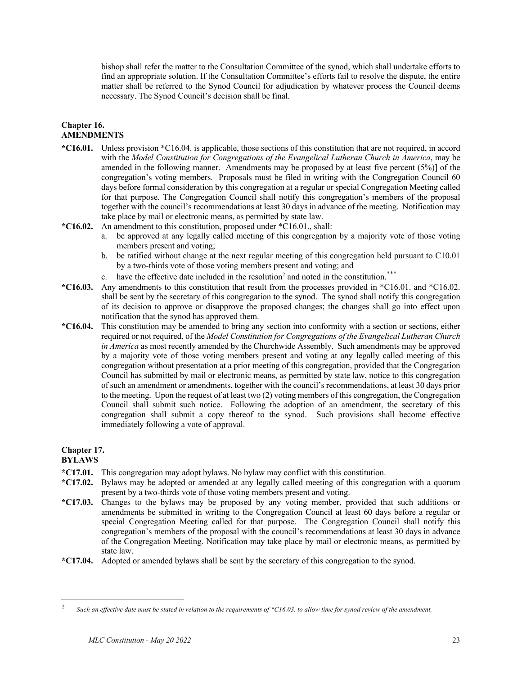bishop shall refer the matter to the Consultation Committee of the synod, which shall undertake efforts to find an appropriate solution. If the Consultation Committee's efforts fail to resolve the dispute, the entire matter shall be referred to the Synod Council for adjudication by whatever process the Council deems necessary. The Synod Council's decision shall be final.

#### **Chapter 16. AMENDMENTS**

- **\*C16.01.** Unless provision \*C16.04. is applicable, those sections of this constitution that are not required, in accord with the *Model Constitution for Congregations of the Evangelical Lutheran Church in America*, may be amended in the following manner. Amendments may be proposed by at least five percent (5%)] of the congregation's voting members. Proposals must be filed in writing with the Congregation Council 60 days before formal consideration by this congregation at a regular or special Congregation Meeting called for that purpose. The Congregation Council shall notify this congregation's members of the proposal together with the council's recommendations at least 30 days in advance of the meeting. Notification may take place by mail or electronic means, as permitted by state law.
- **\*C16.02.** An amendment to this constitution, proposed under \*C16.01., shall:
	- a. be approved at any legally called meeting of this congregation by a majority vote of those voting members present and voting;
	- b. be ratified without change at the next regular meeting of this congregation held pursuant to C10.01 by a two-thirds vote of those voting members present and voting; and
	- c. have the effective date included in the resolution<sup>2</sup> and noted in the constitution.<sup>\*\*\*</sup>
- **\*C16.03.** Any amendments to this constitution that result from the processes provided in \*C16.01. and \*C16.02. shall be sent by the secretary of this congregation to the synod. The synod shall notify this congregation of its decision to approve or disapprove the proposed changes; the changes shall go into effect upon notification that the synod has approved them.
- **\*C16.04.** This constitution may be amended to bring any section into conformity with a section or sections, either required or not required, of the *Model Constitution for Congregations of the Evangelical Lutheran Church in America* as most recently amended by the Churchwide Assembly. Such amendments may be approved by a majority vote of those voting members present and voting at any legally called meeting of this congregation without presentation at a prior meeting of this congregation, provided that the Congregation Council has submitted by mail or electronic means, as permitted by state law, notice to this congregation of such an amendment or amendments, together with the council's recommendations, at least 30 days prior to the meeting. Upon the request of at least two (2) voting members of this congregation, the Congregation Council shall submit such notice. Following the adoption of an amendment, the secretary of this congregation shall submit a copy thereof to the synod. Such provisions shall become effective immediately following a vote of approval.

### **Chapter 17.**

#### **BYLAWS**

- **\*C17.01.** This congregation may adopt bylaws. No bylaw may conflict with this constitution.
- **\*C17.02.** Bylaws may be adopted or amended at any legally called meeting of this congregation with a quorum present by a two-thirds vote of those voting members present and voting.
- **\*C17.03.** Changes to the bylaws may be proposed by any voting member, provided that such additions or amendments be submitted in writing to the Congregation Council at least 60 days before a regular or special Congregation Meeting called for that purpose. The Congregation Council shall notify this congregation's members of the proposal with the council's recommendations at least 30 days in advance of the Congregation Meeting. Notification may take place by mail or electronic means, as permitted by state law.
- **\*C17.04.** Adopted or amended bylaws shall be sent by the secretary of this congregation to the synod.

Such an effective date must be stated in relation to the requirements of \*C16.03. to allow time for synod review of the amendment.